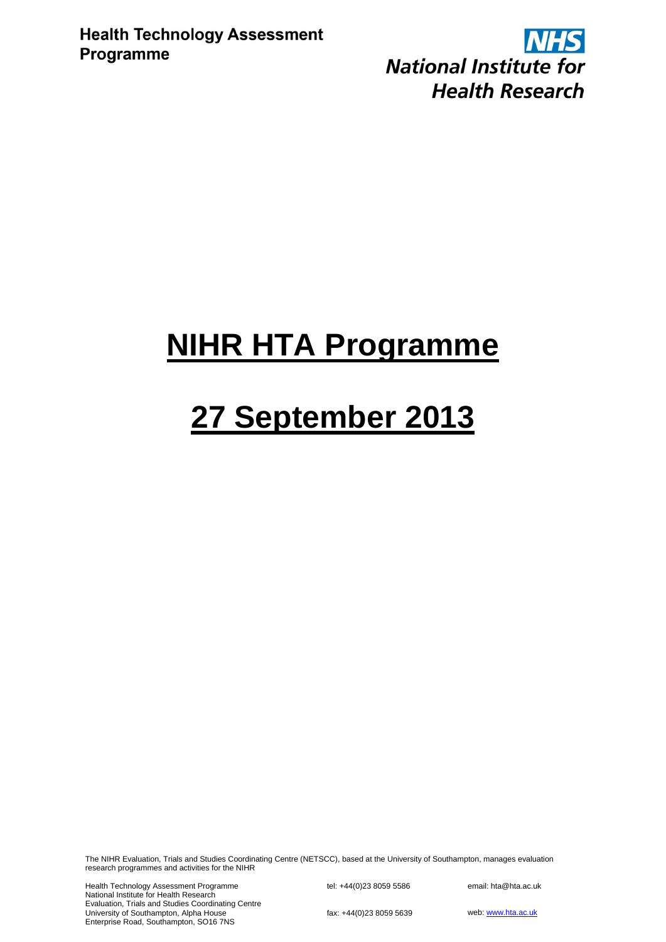**NHS National Institute for Health Research** 

## **NIHR HTA Programme**

# **27 September 2013**

The NIHR Evaluation, Trials and Studies Coordinating Centre (NETSCC), based at the University of Southampton, manages evaluation research programmes and activities for the NIHR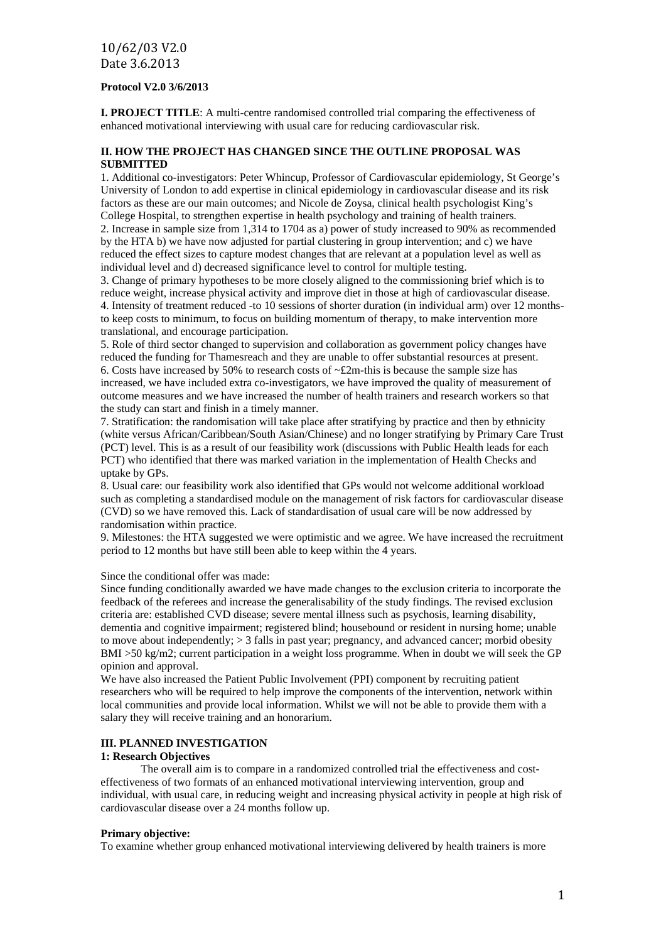#### **Protocol V2.0 3/6/2013**

**I. PROJECT TITLE**: A multi-centre randomised controlled trial comparing the effectiveness of enhanced motivational interviewing with usual care for reducing cardiovascular risk.

#### **II. HOW THE PROJECT HAS CHANGED SINCE THE OUTLINE PROPOSAL WAS SUBMITTED**

1. Additional co-investigators: Peter Whincup, Professor of Cardiovascular epidemiology, St George's University of London to add expertise in clinical epidemiology in cardiovascular disease and its risk factors as these are our main outcomes; and Nicole de Zoysa, clinical health psychologist King's College Hospital, to strengthen expertise in health psychology and training of health trainers. 2. Increase in sample size from 1,314 to 1704 as a) power of study increased to 90% as recommended by the HTA b) we have now adjusted for partial clustering in group intervention; and c) we have reduced the effect sizes to capture modest changes that are relevant at a population level as well as individual level and d) decreased significance level to control for multiple testing.

3. Change of primary hypotheses to be more closely aligned to the commissioning brief which is to reduce weight, increase physical activity and improve diet in those at high of cardiovascular disease. 4. Intensity of treatment reduced -to 10 sessions of shorter duration (in individual arm) over 12 monthsto keep costs to minimum, to focus on building momentum of therapy, to make intervention more translational, and encourage participation.

5. Role of third sector changed to supervision and collaboration as government policy changes have reduced the funding for Thamesreach and they are unable to offer substantial resources at present. 6. Costs have increased by 50% to research costs of  $\sim$ £2m-this is because the sample size has increased, we have included extra co-investigators, we have improved the quality of measurement of outcome measures and we have increased the number of health trainers and research workers so that the study can start and finish in a timely manner.

7. Stratification: the randomisation will take place after stratifying by practice and then by ethnicity (white versus African/Caribbean/South Asian/Chinese) and no longer stratifying by Primary Care Trust (PCT) level. This is as a result of our feasibility work (discussions with Public Health leads for each PCT) who identified that there was marked variation in the implementation of Health Checks and uptake by GPs.

8. Usual care: our feasibility work also identified that GPs would not welcome additional workload such as completing a standardised module on the management of risk factors for cardiovascular disease (CVD) so we have removed this. Lack of standardisation of usual care will be now addressed by randomisation within practice.

9. Milestones: the HTA suggested we were optimistic and we agree. We have increased the recruitment period to 12 months but have still been able to keep within the 4 years.

Since the conditional offer was made:

Since funding conditionally awarded we have made changes to the exclusion criteria to incorporate the feedback of the referees and increase the generalisability of the study findings. The revised exclusion criteria are: established CVD disease; severe mental illness such as psychosis, learning disability, dementia and cognitive impairment; registered blind; housebound or resident in nursing home; unable to move about independently; > 3 falls in past year; pregnancy, and advanced cancer; morbid obesity BMI >50 kg/m2; current participation in a weight loss programme. When in doubt we will seek the GP opinion and approval.

We have also increased the Patient Public Involvement (PPI) component by recruiting patient researchers who will be required to help improve the components of the intervention, network within local communities and provide local information. Whilst we will not be able to provide them with a salary they will receive training and an honorarium.

#### **III. PLANNED INVESTIGATION**

#### **1: Research Objectives**

The overall aim is to compare in a randomized controlled trial the effectiveness and costeffectiveness of two formats of an enhanced motivational interviewing intervention, group and individual, with usual care, in reducing weight and increasing physical activity in people at high risk of cardiovascular disease over a 24 months follow up.

#### **Primary objective:**

To examine whether group enhanced motivational interviewing delivered by health trainers is more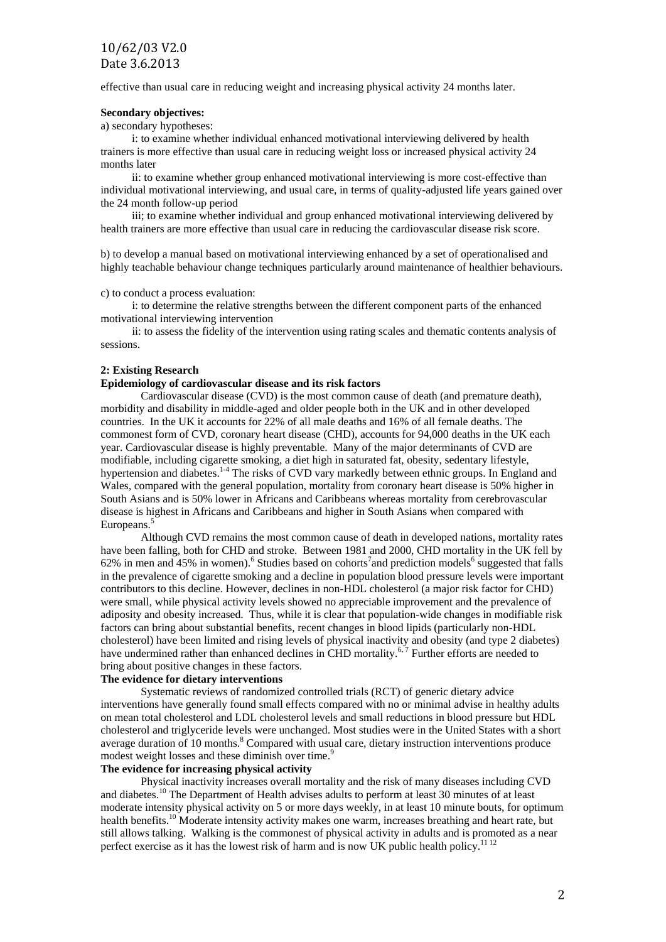effective than usual care in reducing weight and increasing physical activity 24 months later.

#### **Secondary objectives:**

a) secondary hypotheses:

i: to examine whether individual enhanced motivational interviewing delivered by health trainers is more effective than usual care in reducing weight loss or increased physical activity 24 months later

ii: to examine whether group enhanced motivational interviewing is more cost-effective than individual motivational interviewing, and usual care, in terms of quality-adjusted life years gained over the 24 month follow-up period

iii; to examine whether individual and group enhanced motivational interviewing delivered by health trainers are more effective than usual care in reducing the cardiovascular disease risk score.

b) to develop a manual based on motivational interviewing enhanced by a set of operationalised and highly teachable behaviour change techniques particularly around maintenance of healthier behaviours.

c) to conduct a process evaluation:

i: to determine the relative strengths between the different component parts of the enhanced motivational interviewing intervention

ii: to assess the fidelity of the intervention using rating scales and thematic contents analysis of sessions.

#### **2: Existing Research**

#### **Epidemiology of cardiovascular disease and its risk factors**

Cardiovascular disease (CVD) is the most common cause of death (and premature death), morbidity and disability in middle-aged and older people both in the UK and in other developed countries. In the UK it accounts for 22% of all male deaths and 16% of all female deaths. The commonest form of CVD, coronary heart disease (CHD), accounts for 94,000 deaths in the UK each year. Cardiovascular disease is highly preventable. Many of the major determinants of CVD are modifiable, including cigarette smoking, a diet high in saturated fat, obesity, sedentary lifestyle, hypertension and diabetes.<sup>14</sup> The risks of CVD vary markedly between ethnic groups. In England and Wales, compared with the general population, mortality from coronary heart disease is 50% higher in South Asians and is 50% lower in Africans and Caribbeans whereas mortality from cerebrovascular disease is highest in Africans and Caribbeans and higher in South Asians when compared with Europeans. 5

Although CVD remains the most common cause of death in developed nations, mortality rates have been falling, both for CHD and stroke. Between 1981 and 2000, CHD mortality in the UK fell by 62% in men and 45% in women).<sup>6</sup> Studies based on cohorts<sup>7</sup> and prediction models<sup>6</sup> suggested that falls in the prevalence of cigarette smoking and a decline in population blood pressure levels were important contributors to this decline. However, declines in non-HDL cholesterol (a major risk factor for CHD) were small, while physical activity levels showed no appreciable improvement and the prevalence of adiposity and obesity increased. Thus, while it is clear that population-wide changes in modifiable risk factors can bring about substantial benefits, recent changes in blood lipids (particularly non-HDL cholesterol) have been limited and rising levels of physical inactivity and obesity (and type 2 diabetes) have undermined rather than enhanced declines in CHD mortality.<sup>6,7</sup> Further efforts are needed to bring about positive changes in these factors.

#### **The evidence for dietary interventions**

Systematic reviews of randomized controlled trials (RCT) of generic dietary advice interventions have generally found small effects compared with no or minimal advise in healthy adults on mean total cholesterol and LDL cholesterol levels and small reductions in blood pressure but HDL cholesterol and triglyceride levels were unchanged. Most studies were in the United States with a short average duration of 10 months.<sup>8</sup> Compared with usual care, dietary instruction interventions produce modest weight losses and these diminish over time.<sup>9</sup>

#### **The evidence for increasing physical activity**

Physical inactivity increases overall mortality and the risk of many diseases including CVD and diabetes.<sup>10</sup> The Department of Health advises adults to perform at least 30 minutes of at least moderate intensity physical activity on 5 or more days weekly, in at least 10 minute bouts, for optimum health benefits.<sup>10</sup> Moderate intensity activity makes one warm, increases breathing and heart rate, but still allows talking. Walking is the commonest of physical activity in adults and is promoted as a near perfect exercise as it has the lowest risk of harm and is now UK public health policy.<sup>11 12</sup>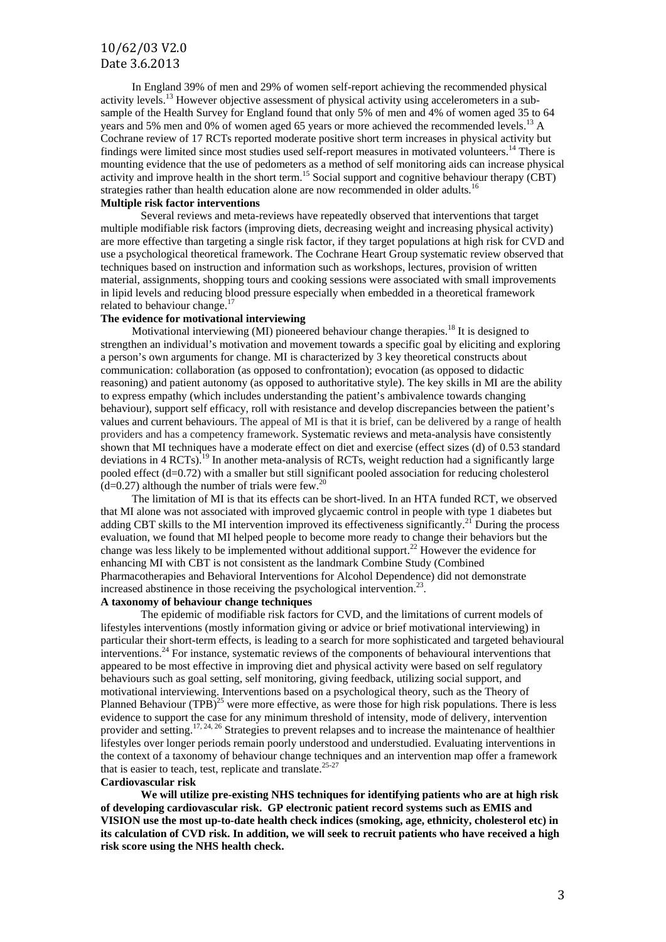In England 39% of men and 29% of women self-report achieving the recommended physical activity levels.<sup>13</sup> However objective assessment of physical activity using accelerometers in a subsample of the Health Survey for England found that only 5% of men and 4% of women aged 35 to 64 years and 5% men and 0% of women aged 65 years or more achieved the recommended levels.<sup>13</sup> A Cochrane review of 17 RCTs reported moderate positive short term increases in physical activity but findings were limited since most studies used self-report measures in motivated volunteers.<sup>14</sup> There is mounting evidence that the use of pedometers as a method of self monitoring aids can increase physical activity and improve health in the short term.<sup>15</sup> Social support and cognitive behaviour therapy (CBT) strategies rather than health education alone are now recommended in older adults.<sup>16</sup>

#### **Multiple risk factor interventions**

Several reviews and meta-reviews have repeatedly observed that interventions that target multiple modifiable risk factors (improving diets, decreasing weight and increasing physical activity) are more effective than targeting a single risk factor, if they target populations at high risk for CVD and use a psychological theoretical framework. The Cochrane Heart Group systematic review observed that techniques based on instruction and information such as workshops, lectures, provision of written material, assignments, shopping tours and cooking sessions were associated with small improvements in lipid levels and reducing blood pressure especially when embedded in a theoretical framework related to behaviour change.<sup>17</sup>

#### **The evidence for motivational interviewing**

Motivational interviewing (MI) pioneered behaviour change therapies.<sup>18</sup> It is designed to strengthen an individual's motivation and movement towards a specific goal by eliciting and exploring a person's own arguments for change. MI is characterized by 3 key theoretical constructs about communication: collaboration (as opposed to confrontation); evocation (as opposed to didactic reasoning) and patient autonomy (as opposed to authoritative style). The key skills in MI are the ability to express empathy (which includes understanding the patient's ambivalence towards changing behaviour), support self efficacy, roll with resistance and develop discrepancies between the patient's values and current behaviours. The appeal of MI is that it is brief, can be delivered by a range of health providers and has a competency framework. Systematic reviews and meta-analysis have consistently shown that MI techniques have a moderate effect on diet and exercise (effect sizes (d) of 0.53 standard deviations in 4 RCTs).<sup>19</sup> In another meta-analysis of RCTs, weight reduction had a significantly large pooled effect (d=0.72) with a smaller but still significant pooled association for reducing cholesterol  $(d=0.27)$  although the number of trials were few.<sup>20</sup>

The limitation of MI is that its effects can be short-lived. In an HTA funded RCT, we observed that MI alone was not associated with improved glycaemic control in people with type 1 diabetes but adding CBT skills to the MI intervention improved its effectiveness significantly.<sup>21</sup> During the process evaluation, we found that MI helped people to become more ready to change their behaviors but the change was less likely to be implemented without additional support.<sup>22</sup> However the evidence for enhancing MI with CBT is not consistent as the landmark Combine Study (Combined Pharmacotherapies and Behavioral Interventions for Alcohol Dependence) did not demonstrate increased abstinence in those receiving the psychological intervention.<sup>23</sup>.

#### **A taxonomy of behaviour change techniques**

The epidemic of modifiable risk factors for CVD, and the limitations of current models of lifestyles interventions (mostly information giving or advice or brief motivational interviewing) in particular their short-term effects, is leading to a search for more sophisticated and targeted behavioural interventions.<sup>24</sup> For instance, systematic reviews of the components of behavioural interventions that appeared to be most effective in improving diet and physical activity were based on self regulatory behaviours such as goal setting, self monitoring, giving feedback, utilizing social support, and motivational interviewing. Interventions based on a psychological theory, such as the Theory of Planned Behaviour (TPB)<sup>25</sup> were more effective, as were those for high risk populations. There is less evidence to support the case for any minimum threshold of intensity, mode of delivery, intervention provider and setting.<sup>17, 24, 26</sup> Strategies to prevent relapses and to increase the maintenance of healthier lifestyles over longer periods remain poorly understood and understudied. Evaluating interventions in the context of a taxonomy of behaviour change techniques and an intervention map offer a framework that is easier to teach, test, replicate and translate.<sup>25-27</sup>

#### **Cardiovascular risk**

**We will utilize pre-existing NHS techniques for identifying patients who are at high risk of developing cardiovascular risk. GP electronic patient record systems such as EMIS and VISION use the most up-to-date health check indices (smoking, age, ethnicity, cholesterol etc) in its calculation of CVD risk. In addition, we will seek to recruit patients who have received a high risk score using the NHS health check.**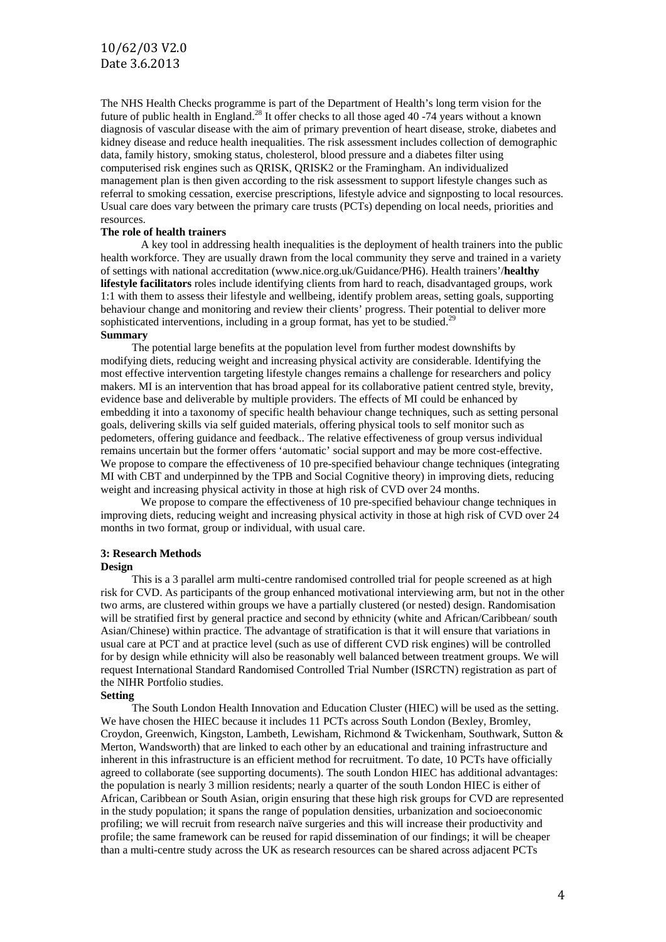The NHS Health Checks programme is part of the Department of Health's long term vision for the future of public health in England.<sup>28</sup> It offer checks to all those aged 40 -74 years without a known diagnosis of vascular disease with the aim of primary prevention of heart disease, stroke, diabetes and kidney disease and reduce health inequalities. The risk assessment includes collection of demographic data, family history, smoking status, cholesterol, blood pressure and a diabetes filter using computerised risk engines such as QRISK, QRISK2 or the Framingham. An individualized management plan is then given according to the risk assessment to support lifestyle changes such as referral to smoking cessation, exercise prescriptions, lifestyle advice and signposting to local resources. Usual care does vary between the primary care trusts (PCTs) depending on local needs, priorities and resources.

#### **The role of health trainers**

A key tool in addressing health inequalities is the deployment of health trainers into the public health workforce. They are usually drawn from the local community they serve and trained in a variety of settings with national accreditation (www.nice.org.uk/Guidance/PH6). Health trainers'/**healthy lifestyle facilitators** roles include identifying clients from hard to reach, disadvantaged groups, work 1:1 with them to assess their lifestyle and wellbeing, identify problem areas, setting goals, supporting behaviour change and monitoring and review their clients' progress. Their potential to deliver more sophisticated interventions, including in a group format, has yet to be studied.<sup>29</sup> **Summary**

The potential large benefits at the population level from further modest downshifts by modifying diets, reducing weight and increasing physical activity are considerable. Identifying the most effective intervention targeting lifestyle changes remains a challenge for researchers and policy makers. MI is an intervention that has broad appeal for its collaborative patient centred style, brevity, evidence base and deliverable by multiple providers. The effects of MI could be enhanced by embedding it into a taxonomy of specific health behaviour change techniques, such as setting personal goals, delivering skills via self guided materials, offering physical tools to self monitor such as pedometers, offering guidance and feedback.. The relative effectiveness of group versus individual remains uncertain but the former offers 'automatic' social support and may be more cost-effective. We propose to compare the effectiveness of 10 pre-specified behaviour change techniques (integrating MI with CBT and underpinned by the TPB and Social Cognitive theory) in improving diets, reducing weight and increasing physical activity in those at high risk of CVD over 24 months.

We propose to compare the effectiveness of 10 pre-specified behaviour change techniques in improving diets, reducing weight and increasing physical activity in those at high risk of CVD over 24 months in two format, group or individual, with usual care.

#### **3: Research Methods**

#### **Design**

This is a 3 parallel arm multi-centre randomised controlled trial for people screened as at high risk for CVD. As participants of the group enhanced motivational interviewing arm, but not in the other two arms, are clustered within groups we have a partially clustered (or nested) design. Randomisation will be stratified first by general practice and second by ethnicity (white and African/Caribbean/ south Asian/Chinese) within practice. The advantage of stratification is that it will ensure that variations in usual care at PCT and at practice level (such as use of different CVD risk engines) will be controlled for by design while ethnicity will also be reasonably well balanced between treatment groups. We will request International Standard Randomised Controlled Trial Number (ISRCTN) registration as part of the NIHR Portfolio studies.

#### **Setting**

The South London Health Innovation and Education Cluster (HIEC) will be used as the setting. We have chosen the HIEC because it includes 11 PCTs across South London (Bexley, Bromley, Croydon, Greenwich, Kingston, Lambeth, Lewisham, Richmond & Twickenham, Southwark, Sutton & Merton, Wandsworth) that are linked to each other by an educational and training infrastructure and inherent in this infrastructure is an efficient method for recruitment. To date, 10 PCTs have officially agreed to collaborate (see supporting documents). The south London HIEC has additional advantages: the population is nearly 3 million residents; nearly a quarter of the south London HIEC is either of African, Caribbean or South Asian, origin ensuring that these high risk groups for CVD are represented in the study population; it spans the range of population densities, urbanization and socioeconomic profiling; we will recruit from research naïve surgeries and this will increase their productivity and profile; the same framework can be reused for rapid dissemination of our findings; it will be cheaper than a multi-centre study across the UK as research resources can be shared across adjacent PCTs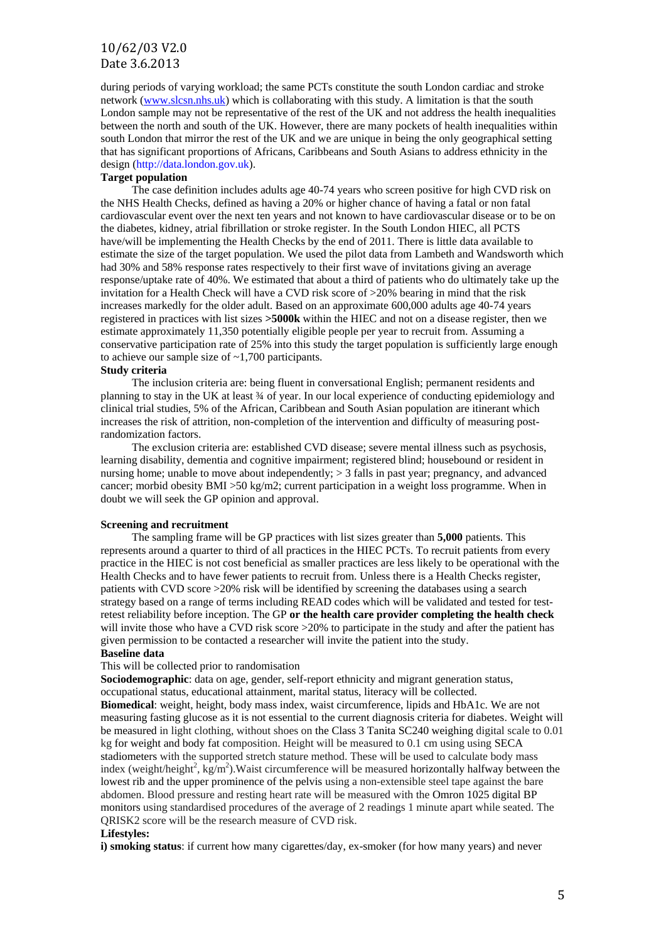during periods of varying workload; the same PCTs constitute the south London cardiac and stroke network [\(www.slcsn.nhs.uk\)](http://www.slcsn.nhs.uk/) which is collaborating with this study. A limitation is that the south London sample may not be representative of the rest of the UK and not address the health inequalities between the north and south of the UK. However, there are many pockets of health inequalities within south London that mirror the rest of the UK and we are unique in being the only geographical setting that has significant proportions of Africans, Caribbeans and South Asians to address ethnicity in the design [\(http://data.london.gov.uk\)](http://data.london.gov.uk/).

#### **Target population**

The case definition includes adults age 40-74 years who screen positive for high CVD risk on the NHS Health Checks, defined as having a 20% or higher chance of having a fatal or non fatal cardiovascular event over the next ten years and not known to have cardiovascular disease or to be on the diabetes, kidney, atrial fibrillation or stroke register. In the South London HIEC, all PCTS have/will be implementing the Health Checks by the end of 2011. There is little data available to estimate the size of the target population. We used the pilot data from Lambeth and Wandsworth which had 30% and 58% response rates respectively to their first wave of invitations giving an average response/uptake rate of 40%. We estimated that about a third of patients who do ultimately take up the invitation for a Health Check will have a CVD risk score of >20% bearing in mind that the risk increases markedly for the older adult. Based on an approximate 600,000 adults age 40-74 years registered in practices with list sizes **>5000k** within the HIEC and not on a disease register, then we estimate approximately 11,350 potentially eligible people per year to recruit from. Assuming a conservative participation rate of 25% into this study the target population is sufficiently large enough to achieve our sample size of ~1,700 participants.

#### **Study criteria**

The inclusion criteria are: being fluent in conversational English; permanent residents and planning to stay in the UK at least ¾ of year. In our local experience of conducting epidemiology and clinical trial studies, 5% of the African, Caribbean and South Asian population are itinerant which increases the risk of attrition, non-completion of the intervention and difficulty of measuring postrandomization factors.

The exclusion criteria are: established CVD disease; severe mental illness such as psychosis, learning disability, dementia and cognitive impairment; registered blind; housebound or resident in nursing home; unable to move about independently; > 3 falls in past year; pregnancy, and advanced cancer; morbid obesity BMI  $>50 \text{ kg/m2}$ ; current participation in a weight loss programme. When in doubt we will seek the GP opinion and approval.

#### **Screening and recruitment**

The sampling frame will be GP practices with list sizes greater than **5,000** patients. This represents around a quarter to third of all practices in the HIEC PCTs. To recruit patients from every practice in the HIEC is not cost beneficial as smaller practices are less likely to be operational with the Health Checks and to have fewer patients to recruit from. Unless there is a Health Checks register, patients with CVD score >20% risk will be identified by screening the databases using a search strategy based on a range of terms including READ codes which will be validated and tested for testretest reliability before inception. The GP **or the health care provider completing the health check** will invite those who have a CVD risk score  $>20\%$  to participate in the study and after the patient has given permission to be contacted a researcher will invite the patient into the study.

#### **Baseline data**

This will be collected prior to randomisation

**Sociodemographic**: data on age, gender, self-report ethnicity and migrant generation status, occupational status, educational attainment, marital status, literacy will be collected.

**Biomedical**: weight, height, body mass index, waist circumference, lipids and HbA1c. We are not measuring fasting glucose as it is not essential to the current diagnosis criteria for diabetes. Weight will be measured in light clothing, without shoes on the Class 3 Tanita SC240 weighing digital scale to 0.01 kg for weight and body fat composition. Height will be measured to 0.1 cm using using SECA stadiometers with the supported stretch stature method. These will be used to calculate body mass index (weight/height<sup>2</sup>, kg/m<sup>2</sup>). Waist circumference will be measured horizontally halfway between the lowest rib and the upper prominence of the pelvis using a non-extensible steel tape against the bare abdomen. Blood pressure and resting heart rate will be measured with the Omron 1025 digital BP monitors using standardised procedures of the average of 2 readings 1 minute apart while seated. The QRISK2 score will be the research measure of CVD risk.

#### **Lifestyles:**

**i) smoking status**: if current how many cigarettes/day, ex-smoker (for how many years) and never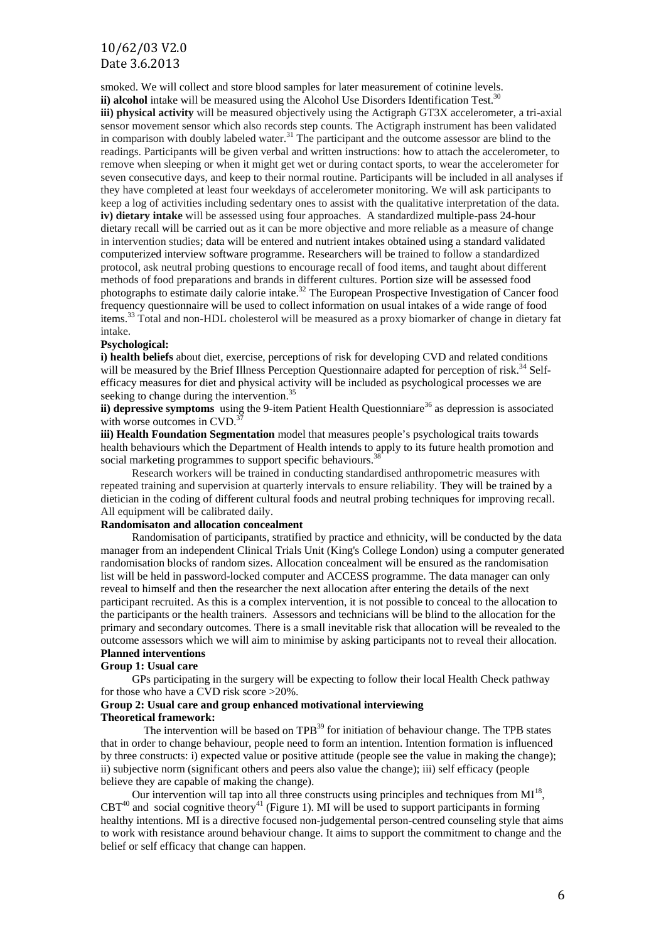smoked. We will collect and store blood samples for later measurement of cotinine levels. ii) alcohol intake will be measured using the Alcohol Use Disorders Identification Test.<sup>30</sup>

**iii) physical activity** will be measured objectively using the Actigraph GT3X accelerometer, a tri-axial sensor movement sensor which also records step counts. The Actigraph instrument has been validated in comparison with doubly labeled water.<sup>31</sup> The participant and the outcome assessor are blind to the readings. Participants will be given verbal and written instructions: how to attach the accelerometer, to remove when sleeping or when it might get wet or during contact sports, to wear the accelerometer for seven consecutive days, and keep to their normal routine. Participants will be included in all analyses if they have completed at least four weekdays of accelerometer monitoring. We will ask participants to keep a log of activities including sedentary ones to assist with the qualitative interpretation of the data. **iv) dietary intake** will be assessed using four approaches. A standardized multiple-pass 24-hour dietary recall will be carried out as it can be more objective and more reliable as a measure of change in intervention studies; data will be entered and nutrient intakes obtained using a standard validated computerized interview software programme. Researchers will be trained to follow a standardized protocol, ask neutral probing questions to encourage recall of food items, and taught about different methods of food preparations and brands in different cultures. Portion size will be assessed food photographs to estimate daily calorie intake.<sup>32</sup> The European Prospective Investigation of Cancer food frequency questionnaire will be used to collect information on usual intakes of a wide range of food items.<sup>33</sup> Total and non-HDL cholesterol will be measured as a proxy biomarker of change in dietary fat intake.

#### **Psychological:**

**i) health beliefs** about diet, exercise, perceptions of risk for developing CVD and related conditions will be measured by the Brief Illness Perception Questionnaire adapted for perception of risk.<sup>34</sup> Selfefficacy measures for diet and physical activity will be included as psychological processes we are seeking to change during the intervention.<sup>35</sup>

ii) depressive symptoms using the 9-item Patient Health Questionniare<sup>36</sup> as depression is associated with worse outcomes in CVD.<sup>3</sup>

**iii) Health Foundation Segmentation** model that measures people's psychological traits towards health behaviours which the Department of Health intends to apply to its future health promotion and social marketing programmes to support specific behaviours.<sup>38</sup>

Research workers will be trained in conducting standardised anthropometric measures with repeated training and supervision at quarterly intervals to ensure reliability. They will be trained by a dietician in the coding of different cultural foods and neutral probing techniques for improving recall. All equipment will be calibrated daily.

#### **Randomisaton and allocation concealment**

Randomisation of participants, stratified by practice and ethnicity, will be conducted by the data manager from an independent Clinical Trials Unit (King's College London) using a computer generated randomisation blocks of random sizes. Allocation concealment will be ensured as the randomisation list will be held in password-locked computer and ACCESS programme. The data manager can only reveal to himself and then the researcher the next allocation after entering the details of the next participant recruited. As this is a complex intervention, it is not possible to conceal to the allocation to the participants or the health trainers. Assessors and technicians will be blind to the allocation for the primary and secondary outcomes. There is a small inevitable risk that allocation will be revealed to the outcome assessors which we will aim to minimise by asking participants not to reveal their allocation. **Planned interventions**

#### **Group 1: Usual care**

GPs participating in the surgery will be expecting to follow their local Health Check pathway for those who have a CVD risk score >20%.

#### **Group 2: Usual care and group enhanced motivational interviewing Theoretical framework:**

The intervention will be based on TPB<sup>39</sup> for initiation of behaviour change. The TPB states that in order to change behaviour, people need to form an intention. Intention formation is influenced by three constructs: i) expected value or positive attitude (people see the value in making the change); ii) subjective norm (significant others and peers also value the change); iii) self efficacy (people believe they are capable of making the change).

Our intervention will tap into all three constructs using principles and techniques from  $MI^{18}$ ,  $CBT<sup>40</sup>$  and social cognitive theory<sup>41</sup> (Figure 1). MI will be used to support participants in forming healthy intentions. MI is a directive focused non-judgemental person-centred counseling style that aims to work with resistance around behaviour change. It aims to support the commitment to change and the belief or self efficacy that change can happen.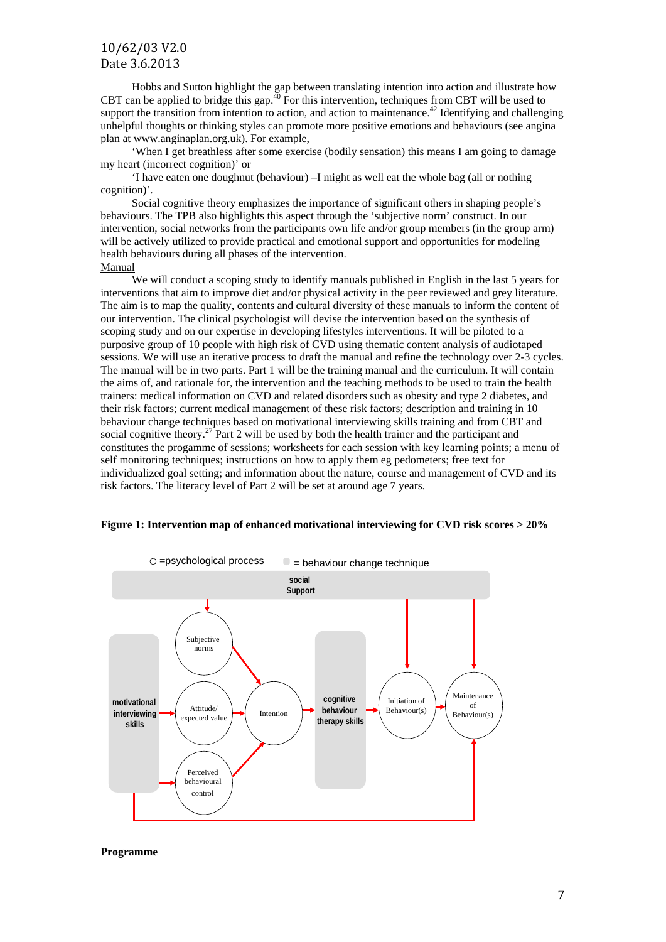Hobbs and Sutton highlight the gap between translating intention into action and illustrate how CBT can be applied to bridge this gap.<sup>40</sup> For this intervention, techniques from CBT will be used to support the transition from intention to action, and action to maintenance.<sup>42</sup> Identifying and challenging unhelpful thoughts or thinking styles can promote more positive emotions and behaviours (see angina plan at www.anginaplan.org.uk). For example,

'When I get breathless after some exercise (bodily sensation) this means I am going to damage my heart (incorrect cognition)' or

'I have eaten one doughnut (behaviour) –I might as well eat the whole bag (all or nothing cognition)'.

Social cognitive theory emphasizes the importance of significant others in shaping people's behaviours. The TPB also highlights this aspect through the 'subjective norm' construct. In our intervention, social networks from the participants own life and/or group members (in the group arm) will be actively utilized to provide practical and emotional support and opportunities for modeling health behaviours during all phases of the intervention. Manual

We will conduct a scoping study to identify manuals published in English in the last 5 years for interventions that aim to improve diet and/or physical activity in the peer reviewed and grey literature. The aim is to map the quality, contents and cultural diversity of these manuals to inform the content of our intervention. The clinical psychologist will devise the intervention based on the synthesis of scoping study and on our expertise in developing lifestyles interventions. It will be piloted to a purposive group of 10 people with high risk of CVD using thematic content analysis of audiotaped sessions. We will use an iterative process to draft the manual and refine the technology over 2-3 cycles. The manual will be in two parts. Part 1 will be the training manual and the curriculum. It will contain the aims of, and rationale for, the intervention and the teaching methods to be used to train the health trainers: medical information on CVD and related disorders such as obesity and type 2 diabetes, and their risk factors; current medical management of these risk factors; description and training in 10 behaviour change techniques based on motivational interviewing skills training and from CBT and social cognitive theory.<sup>27</sup> Part 2 will be used by both the health trainer and the participant and constitutes the progamme of sessions; worksheets for each session with key learning points; a menu of self monitoring techniques; instructions on how to apply them eg pedometers; free text for individualized goal setting; and information about the nature, course and management of CVD and its risk factors. The literacy level of Part 2 will be set at around age 7 years.



#### **Figure 1: Intervention map of enhanced motivational interviewing for CVD risk scores > 20%**

**Programme**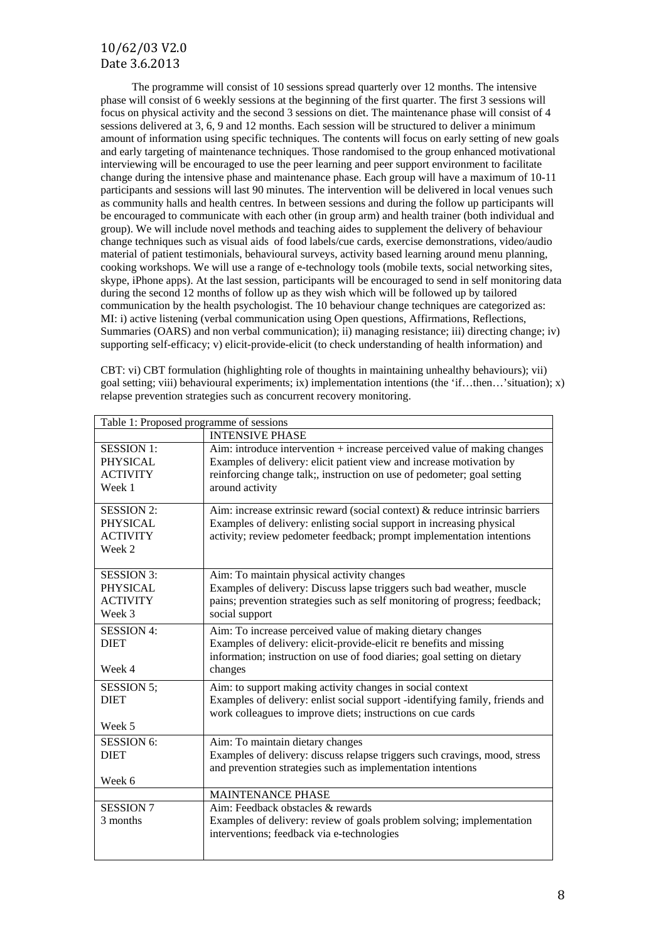The programme will consist of 10 sessions spread quarterly over 12 months. The intensive phase will consist of 6 weekly sessions at the beginning of the first quarter. The first 3 sessions will focus on physical activity and the second 3 sessions on diet. The maintenance phase will consist of 4 sessions delivered at 3, 6, 9 and 12 months. Each session will be structured to deliver a minimum amount of information using specific techniques. The contents will focus on early setting of new goals and early targeting of maintenance techniques. Those randomised to the group enhanced motivational interviewing will be encouraged to use the peer learning and peer support environment to facilitate change during the intensive phase and maintenance phase. Each group will have a maximum of 10-11 participants and sessions will last 90 minutes. The intervention will be delivered in local venues such as community halls and health centres. In between sessions and during the follow up participants will be encouraged to communicate with each other (in group arm) and health trainer (both individual and group). We will include novel methods and teaching aides to supplement the delivery of behaviour change techniques such as visual aids of food labels/cue cards, exercise demonstrations, video/audio material of patient testimonials, behavioural surveys, activity based learning around menu planning, cooking workshops. We will use a range of e-technology tools (mobile texts, social networking sites, skype, iPhone apps). At the last session, participants will be encouraged to send in self monitoring data during the second 12 months of follow up as they wish which will be followed up by tailored communication by the health psychologist. The 10 behaviour change techniques are categorized as: MI: i) active listening (verbal communication using Open questions, Affirmations, Reflections, Summaries (OARS) and non verbal communication); ii) managing resistance; iii) directing change; iv) supporting self-efficacy; v) elicit-provide-elicit (to check understanding of health information) and

CBT: vi) CBT formulation (highlighting role of thoughts in maintaining unhealthy behaviours); vii) goal setting; viii) behavioural experiments; ix) implementation intentions (the 'if…then…'situation); x) relapse prevention strategies such as concurrent recovery monitoring.

| Table 1: Proposed programme of sessions                           |                                                                                                                                                                                                                                                  |
|-------------------------------------------------------------------|--------------------------------------------------------------------------------------------------------------------------------------------------------------------------------------------------------------------------------------------------|
|                                                                   | <b>INTENSIVE PHASE</b>                                                                                                                                                                                                                           |
| <b>SESSION 1:</b><br><b>PHYSICAL</b><br><b>ACTIVITY</b><br>Week 1 | Aim: introduce intervention $+$ increase perceived value of making changes<br>Examples of delivery: elicit patient view and increase motivation by<br>reinforcing change talk;, instruction on use of pedometer; goal setting<br>around activity |
| <b>SESSION 2:</b><br><b>PHYSICAL</b><br><b>ACTIVITY</b><br>Week 2 | Aim: increase extrinsic reward (social context) & reduce intrinsic barriers<br>Examples of delivery: enlisting social support in increasing physical<br>activity; review pedometer feedback; prompt implementation intentions                    |
| <b>SESSION 3:</b><br><b>PHYSICAL</b><br><b>ACTIVITY</b><br>Week 3 | Aim: To maintain physical activity changes<br>Examples of delivery: Discuss lapse triggers such bad weather, muscle<br>pains; prevention strategies such as self monitoring of progress; feedback;<br>social support                             |
| <b>SESSION 4:</b><br><b>DIET</b><br>Week 4                        | Aim: To increase perceived value of making dietary changes<br>Examples of delivery: elicit-provide-elicit re benefits and missing<br>information; instruction on use of food diaries; goal setting on dietary<br>changes                         |
| <b>SESSION 5;</b><br><b>DIET</b><br>Week 5                        | Aim: to support making activity changes in social context<br>Examples of delivery: enlist social support -identifying family, friends and<br>work colleagues to improve diets; instructions on cue cards                                         |
| <b>SESSION 6:</b><br><b>DIET</b><br>Week 6                        | Aim: To maintain dietary changes<br>Examples of delivery: discuss relapse triggers such cravings, mood, stress<br>and prevention strategies such as implementation intentions                                                                    |
|                                                                   | <b>MAINTENANCE PHASE</b>                                                                                                                                                                                                                         |
| <b>SESSION 7</b><br>3 months                                      | Aim: Feedback obstacles & rewards<br>Examples of delivery: review of goals problem solving; implementation<br>interventions; feedback via e-technologies                                                                                         |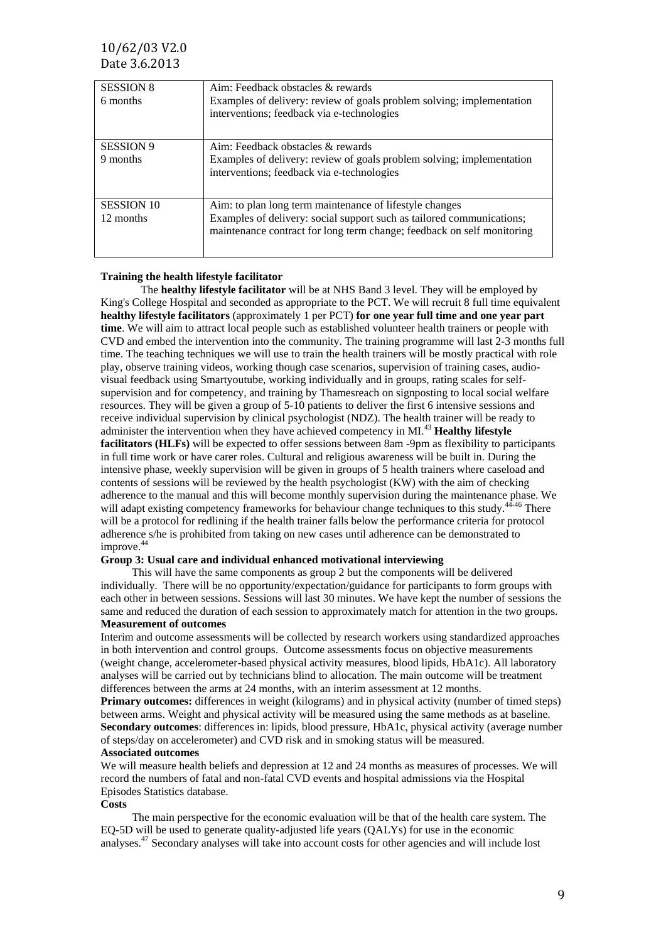| <b>SESSION 8</b>  | Aim: Feedback obstacles & rewards                                                                                                               |
|-------------------|-------------------------------------------------------------------------------------------------------------------------------------------------|
| 6 months          | Examples of delivery: review of goals problem solving; implementation                                                                           |
|                   | interventions; feedback via e-technologies                                                                                                      |
|                   |                                                                                                                                                 |
| <b>SESSION 9</b>  | Aim: Feedback obstacles & rewards                                                                                                               |
| 9 months          | Examples of delivery: review of goals problem solving; implementation<br>interventions; feedback via e-technologies                             |
| <b>SESSION 10</b> | Aim: to plan long term maintenance of lifestyle changes                                                                                         |
| 12 months         | Examples of delivery: social support such as tailored communications;<br>maintenance contract for long term change; feedback on self monitoring |

#### **Training the health lifestyle facilitator**

The **healthy lifestyle facilitator** will be at NHS Band 3 level. They will be employed by King's College Hospital and seconded as appropriate to the PCT. We will recruit 8 full time equivalent **healthy lifestyle facilitators** (approximately 1 per PCT) **for one year full time and one year part time**. We will aim to attract local people such as established volunteer health trainers or people with CVD and embed the intervention into the community. The training programme will last 2-3 months full time. The teaching techniques we will use to train the health trainers will be mostly practical with role play, observe training videos, working though case scenarios, supervision of training cases, audiovisual feedback using Smartyoutube, working individually and in groups, rating scales for selfsupervision and for competency, and training by Thamesreach on signposting to local social welfare resources. They will be given a group of 5-10 patients to deliver the first 6 intensive sessions and receive individual supervision by clinical psychologist (NDZ). The health trainer will be ready to administer the intervention when they have achieved competency in MI.<sup>43</sup> **Healthy lifestyle facilitators (HLFs)** will be expected to offer sessions between 8am -9pm as flexibility to participants in full time work or have carer roles. Cultural and religious awareness will be built in. During the intensive phase, weekly supervision will be given in groups of 5 health trainers where caseload and contents of sessions will be reviewed by the health psychologist (KW) with the aim of checking adherence to the manual and this will become monthly supervision during the maintenance phase. We will adapt existing competency frameworks for behaviour change techniques to this study.<sup>44-46</sup> There will be a protocol for redlining if the health trainer falls below the performance criteria for protocol adherence s/he is prohibited from taking on new cases until adherence can be demonstrated to improve. 44

#### **Group 3: Usual care and individual enhanced motivational interviewing**

This will have the same components as group 2 but the components will be delivered individually. There will be no opportunity/expectation/guidance for participants to form groups with each other in between sessions. Sessions will last 30 minutes. We have kept the number of sessions the same and reduced the duration of each session to approximately match for attention in the two groups. **Measurement of outcomes** 

Interim and outcome assessments will be collected by research workers using standardized approaches in both intervention and control groups. Outcome assessments focus on objective measurements (weight change, accelerometer-based physical activity measures, blood lipids, HbA1c). All laboratory analyses will be carried out by technicians blind to allocation. The main outcome will be treatment differences between the arms at 24 months, with an interim assessment at 12 months.

**Primary outcomes:** differences in weight (kilograms) and in physical activity (number of timed steps) between arms. Weight and physical activity will be measured using the same methods as at baseline. **Secondary outcomes**: differences in: lipids, blood pressure, HbA1c, physical activity (average number of steps/day on accelerometer) and CVD risk and in smoking status will be measured. **Associated outcomes**

We will measure health beliefs and depression at 12 and 24 months as measures of processes. We will record the numbers of fatal and non-fatal CVD events and hospital admissions via the Hospital Episodes Statistics database.

#### **Costs**

The main perspective for the economic evaluation will be that of the health care system. The EQ-5D will be used to generate quality-adjusted life years (QALYs) for use in the economic analyses.<sup>47</sup> Secondary analyses will take into account costs for other agencies and will include lost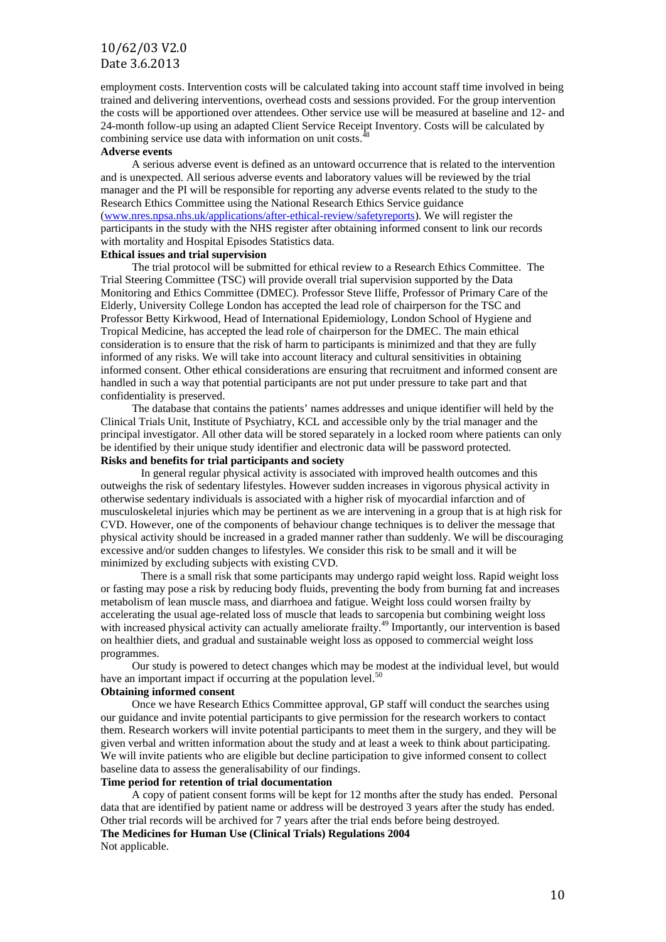employment costs. Intervention costs will be calculated taking into account staff time involved in being trained and delivering interventions, overhead costs and sessions provided. For the group intervention the costs will be apportioned over attendees. Other service use will be measured at baseline and 12- and 24-month follow-up using an adapted Client Service Receipt Inventory. Costs will be calculated by combining service use data with information on unit costs.<sup>48</sup>

#### **Adverse events**

A serious adverse event is defined as an untoward occurrence that is related to the intervention and is unexpected. All serious adverse events and laboratory values will be reviewed by the trial manager and the PI will be responsible for reporting any adverse events related to the study to the Research Ethics Committee using the National Research Ethics Service guidance [\(www.nres.npsa.nhs.uk/applications/after-ethical-review/safetyreports\)](http://www.nres.npsa.nhs.uk/applications/after-ethical-review/safetyreports). We will register the participants in the study with the NHS register after obtaining informed consent to link our records with mortality and Hospital Episodes Statistics data.

#### **Ethical issues and trial supervision**

The trial protocol will be submitted for ethical review to a Research Ethics Committee. The Trial Steering Committee (TSC) will provide overall trial supervision supported by the Data Monitoring and Ethics Committee (DMEC). Professor Steve Iliffe, Professor of Primary Care of the Elderly, University College London has accepted the lead role of chairperson for the TSC and Professor Betty Kirkwood, Head of International Epidemiology, London School of Hygiene and Tropical Medicine, has accepted the lead role of chairperson for the DMEC. The main ethical consideration is to ensure that the risk of harm to participants is minimized and that they are fully informed of any risks. We will take into account literacy and cultural sensitivities in obtaining informed consent. Other ethical considerations are ensuring that recruitment and informed consent are handled in such a way that potential participants are not put under pressure to take part and that confidentiality is preserved.

The database that contains the patients' names addresses and unique identifier will held by the Clinical Trials Unit, Institute of Psychiatry, KCL and accessible only by the trial manager and the principal investigator. All other data will be stored separately in a locked room where patients can only be identified by their unique study identifier and electronic data will be password protected. **Risks and benefits for trial participants and society**

In general regular physical activity is associated with improved health outcomes and this outweighs the risk of sedentary lifestyles. However sudden increases in vigorous physical activity in otherwise sedentary individuals is associated with a higher risk of myocardial infarction and of musculoskeletal injuries which may be pertinent as we are intervening in a group that is at high risk for CVD. However, one of the components of behaviour change techniques is to deliver the message that physical activity should be increased in a graded manner rather than suddenly. We will be discouraging excessive and/or sudden changes to lifestyles. We consider this risk to be small and it will be minimized by excluding subjects with existing CVD.

There is a small risk that some participants may undergo rapid weight loss. Rapid weight loss or fasting may pose a risk by reducing body fluids, preventing the body from burning fat and increases metabolism of lean muscle mass, and diarrhoea and fatigue. Weight loss could worsen frailty by accelerating the usual age-related loss of muscle that leads to sarcopenia but combining weight loss with increased physical activity can actually ameliorate frailty.<sup>49</sup> Importantly, our intervention is based on healthier diets, and gradual and sustainable weight loss as opposed to commercial weight loss programmes.

Our study is powered to detect changes which may be modest at the individual level, but would have an important impact if occurring at the population level.<sup>50</sup>

### **Obtaining informed consent**

Once we have Research Ethics Committee approval, GP staff will conduct the searches using our guidance and invite potential participants to give permission for the research workers to contact them. Research workers will invite potential participants to meet them in the surgery, and they will be given verbal and written information about the study and at least a week to think about participating. We will invite patients who are eligible but decline participation to give informed consent to collect baseline data to assess the generalisability of our findings.

#### **Time period for retention of trial documentation**

A copy of patient consent forms will be kept for 12 months after the study has ended. Personal data that are identified by patient name or address will be destroyed 3 years after the study has ended. Other trial records will be archived for 7 years after the trial ends before being destroyed. **The Medicines for Human Use (Clinical Trials) Regulations 2004**

Not applicable.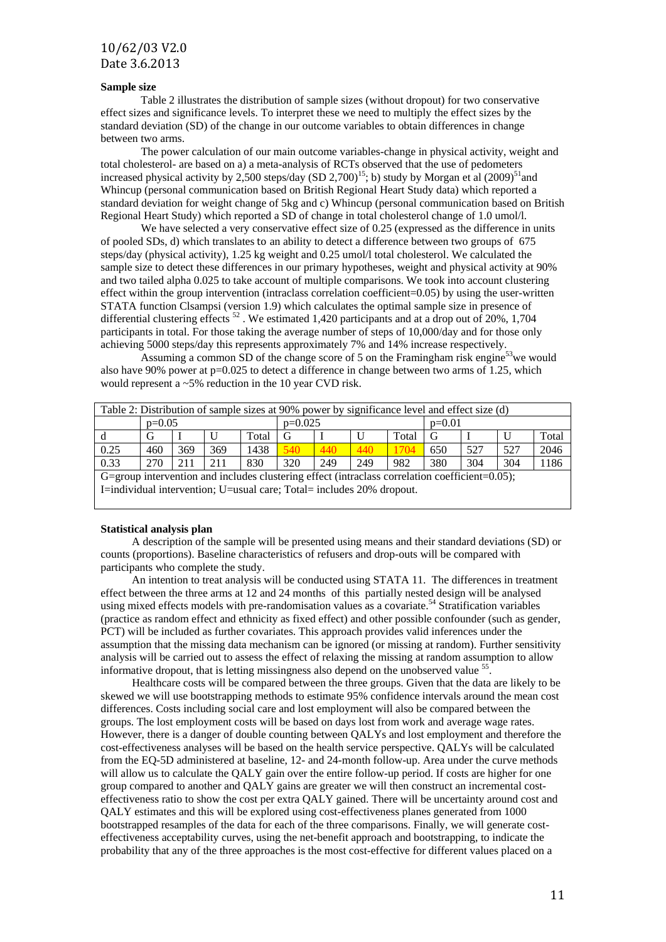#### **Sample size**

Table 2 illustrates the distribution of sample sizes (without dropout) for two conservative effect sizes and significance levels. To interpret these we need to multiply the effect sizes by the standard deviation (SD) of the change in our outcome variables to obtain differences in change between two arms.

The power calculation of our main outcome variables-change in physical activity, weight and total cholesterol- are based on a) a meta-analysis of RCTs observed that the use of pedometers increased physical activity by 2,500 steps/day (SD 2,700)<sup>15</sup>; b) study by Morgan et al  $(2009)^{51}$ and Whincup (personal communication based on British Regional Heart Study data) which reported a standard deviation for weight change of 5kg and c) Whincup (personal communication based on British Regional Heart Study) which reported a SD of change in total cholesterol change of 1.0 umol/l.

We have selected a very conservative effect size of 0.25 (expressed as the difference in units of pooled SDs, d) which translates to an ability to detect a difference between two groups of 675 steps/day (physical activity), 1.25 kg weight and 0.25 umol/l total cholesterol. We calculated the sample size to detect these differences in our primary hypotheses, weight and physical activity at 90% and two tailed alpha 0.025 to take account of multiple comparisons. We took into account clustering effect within the group intervention (intraclass correlation coefficient=0.05) by using the user-written STATA function Clsampsi (version 1.9) which calculates the optimal sample size in presence of differential clustering effects<sup>52</sup>. We estimated 1,420 participants and at a drop out of 20%, 1,704 participants in total. For those taking the average number of steps of 10,000/day and for those only achieving 5000 steps/day this represents approximately 7% and 14% increase respectively.

Assuming a common SD of the change score of 5 on the Framingham risk engine<sup>53</sup>we would also have 90% power at  $p=0.025$  to detect a difference in change between two arms of 1.25, which would represent a ~5% reduction in the 10 year CVD risk.

|      | Table 2: Distribution of sample sizes at 90% power by significance level and effect size (d)       |     |     |       |           |     |     |       |          |     |     |       |  |  |  |  |  |  |  |
|------|----------------------------------------------------------------------------------------------------|-----|-----|-------|-----------|-----|-----|-------|----------|-----|-----|-------|--|--|--|--|--|--|--|
|      | $p=0.05$                                                                                           |     |     |       | $p=0.025$ |     |     |       | $p=0.01$ |     |     |       |  |  |  |  |  |  |  |
| d    | G                                                                                                  |     |     | Total | G         |     |     | Total | G        |     |     | Total |  |  |  |  |  |  |  |
| 0.25 | 460                                                                                                | 369 | 369 | 1438  | 540       | 440 | 440 | 1704  | 650      | 527 | 527 | 2046  |  |  |  |  |  |  |  |
| 0.33 | 270                                                                                                | 211 | 211 | 830   | 320       | 249 | 249 | 982   | 380      | 304 | 304 | 1186  |  |  |  |  |  |  |  |
|      | G=group intervention and includes clustering effect (intraclass correlation coefficient= $0.05$ ); |     |     |       |           |     |     |       |          |     |     |       |  |  |  |  |  |  |  |
|      | I=individual intervention; U=usual care; Total= includes 20% dropout.                              |     |     |       |           |     |     |       |          |     |     |       |  |  |  |  |  |  |  |

#### **Statistical analysis plan**

A description of the sample will be presented using means and their standard deviations (SD) or counts (proportions). Baseline characteristics of refusers and drop-outs will be compared with participants who complete the study.

An intention to treat analysis will be conducted using STATA 11. The differences in treatment effect between the three arms at 12 and 24 months of this partially nested design will be analysed using mixed effects models with pre-randomisation values as a covariate. <sup>54</sup> Stratification variables (practice as random effect and ethnicity as fixed effect) and other possible confounder (such as gender, PCT) will be included as further covariates. This approach provides valid inferences under the assumption that the missing data mechanism can be ignored (or missing at random). Further sensitivity analysis will be carried out to assess the effect of relaxing the missing at random assumption to allow informative dropout, that is letting missingness also depend on the unobserved value  $55$ .

Healthcare costs will be compared between the three groups. Given that the data are likely to be skewed we will use bootstrapping methods to estimate 95% confidence intervals around the mean cost differences. Costs including social care and lost employment will also be compared between the groups. The lost employment costs will be based on days lost from work and average wage rates. However, there is a danger of double counting between QALYs and lost employment and therefore the cost-effectiveness analyses will be based on the health service perspective. QALYs will be calculated from the EQ-5D administered at baseline, 12- and 24-month follow-up. Area under the curve methods will allow us to calculate the QALY gain over the entire follow-up period. If costs are higher for one group compared to another and QALY gains are greater we will then construct an incremental costeffectiveness ratio to show the cost per extra QALY gained. There will be uncertainty around cost and QALY estimates and this will be explored using cost-effectiveness planes generated from 1000 bootstrapped resamples of the data for each of the three comparisons. Finally, we will generate costeffectiveness acceptability curves, using the net-benefit approach and bootstrapping, to indicate the probability that any of the three approaches is the most cost-effective for different values placed on a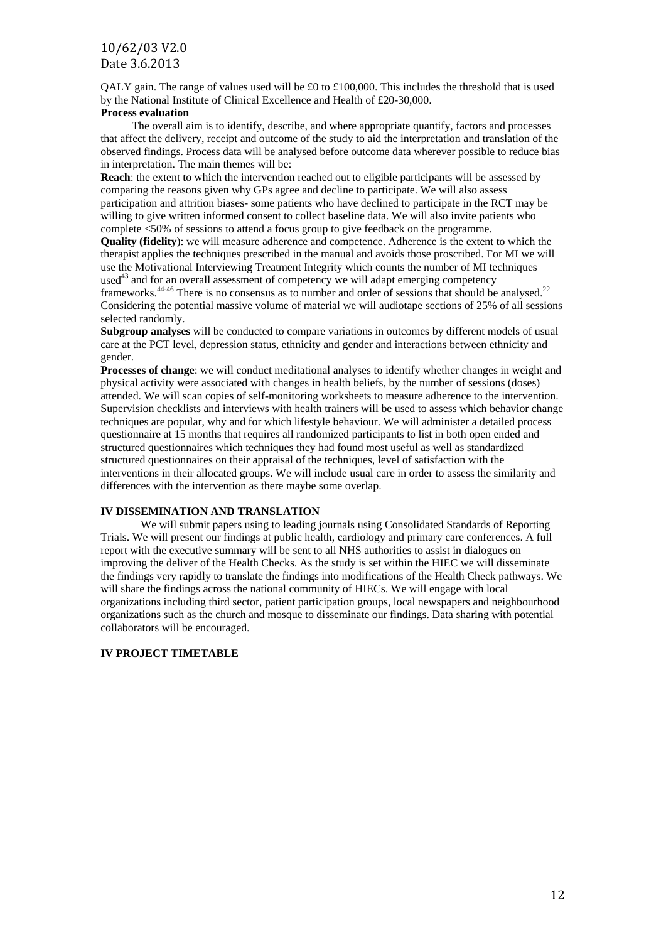QALY gain. The range of values used will be £0 to £100,000. This includes the threshold that is used by the National Institute of Clinical Excellence and Health of £20-30,000.

#### **Process evaluation**

The overall aim is to identify, describe, and where appropriate quantify, factors and processes that affect the delivery, receipt and outcome of the study to aid the interpretation and translation of the observed findings. Process data will be analysed before outcome data wherever possible to reduce bias in interpretation. The main themes will be:

**Reach**: the extent to which the intervention reached out to eligible participants will be assessed by comparing the reasons given why GPs agree and decline to participate. We will also assess participation and attrition biases- some patients who have declined to participate in the RCT may be willing to give written informed consent to collect baseline data. We will also invite patients who complete <50% of sessions to attend a focus group to give feedback on the programme.

**Quality (fidelity**): we will measure adherence and competence. Adherence is the extent to which the therapist applies the techniques prescribed in the manual and avoids those proscribed. For MI we will use the Motivational Interviewing Treatment Integrity which counts the number of MI techniques used $43$  and for an overall assessment of competency we will adapt emerging competency frameworks.<sup>44-46</sup> There is no consensus as to number and order of sessions that should be analysed.<sup>22</sup> Considering the potential massive volume of material we will audiotape sections of 25% of all sessions selected randomly.

**Subgroup analyses** will be conducted to compare variations in outcomes by different models of usual care at the PCT level, depression status, ethnicity and gender and interactions between ethnicity and gender.

**Processes of change**: we will conduct meditational analyses to identify whether changes in weight and physical activity were associated with changes in health beliefs, by the number of sessions (doses) attended. We will scan copies of self-monitoring worksheets to measure adherence to the intervention. Supervision checklists and interviews with health trainers will be used to assess which behavior change techniques are popular, why and for which lifestyle behaviour. We will administer a detailed process questionnaire at 15 months that requires all randomized participants to list in both open ended and structured questionnaires which techniques they had found most useful as well as standardized structured questionnaires on their appraisal of the techniques, level of satisfaction with the interventions in their allocated groups. We will include usual care in order to assess the similarity and differences with the intervention as there maybe some overlap.

#### **IV DISSEMINATION AND TRANSLATION**

We will submit papers using to leading journals using Consolidated Standards of Reporting Trials. We will present our findings at public health, cardiology and primary care conferences. A full report with the executive summary will be sent to all NHS authorities to assist in dialogues on improving the deliver of the Health Checks. As the study is set within the HIEC we will disseminate the findings very rapidly to translate the findings into modifications of the Health Check pathways. We will share the findings across the national community of HIECs. We will engage with local organizations including third sector, patient participation groups, local newspapers and neighbourhood organizations such as the church and mosque to disseminate our findings. Data sharing with potential collaborators will be encouraged.

#### **IV PROJECT TIMETABLE**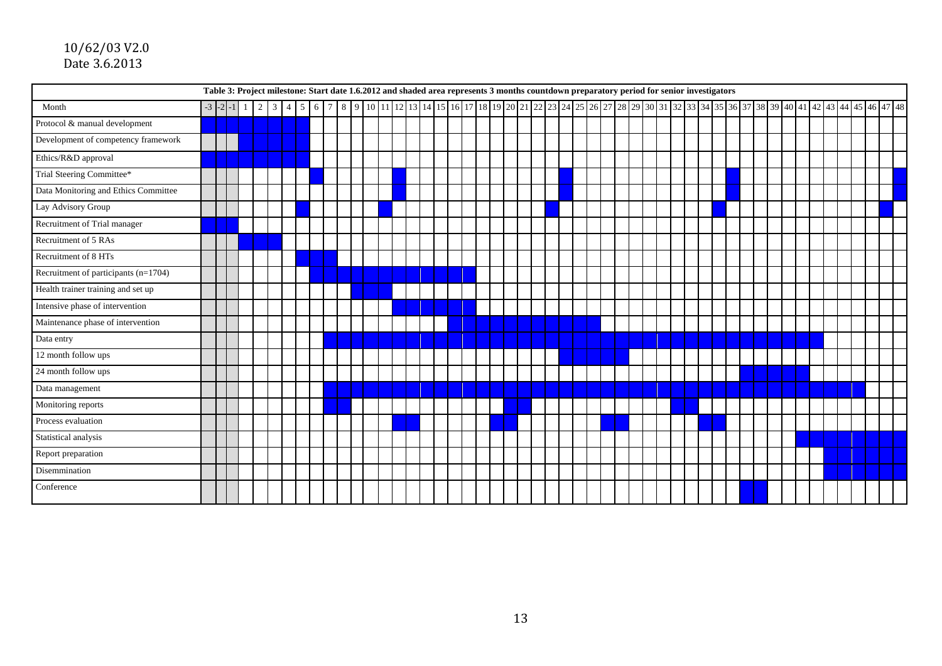|                                      | Table 3: Project milestone: Start date 1.6.2012 and shaded area represents 3 months countdown preparatory period for senior investigators<br>8 9 10 11 2 3 4 4 5 46 47 48<br>$-3$ $-2$ $-1$ $1$ $2$ $3$ $4$ $5$ $6$ |  |  |  |  |  |  |  |             |  |  |  |  |  |  |  |  |  |  |  |  |  |  |  |  |  |  |  |  |  |  |  |  |
|--------------------------------------|---------------------------------------------------------------------------------------------------------------------------------------------------------------------------------------------------------------------|--|--|--|--|--|--|--|-------------|--|--|--|--|--|--|--|--|--|--|--|--|--|--|--|--|--|--|--|--|--|--|--|--|
| Month                                |                                                                                                                                                                                                                     |  |  |  |  |  |  |  | $7^{\circ}$ |  |  |  |  |  |  |  |  |  |  |  |  |  |  |  |  |  |  |  |  |  |  |  |  |
| Protocol & manual development        |                                                                                                                                                                                                                     |  |  |  |  |  |  |  |             |  |  |  |  |  |  |  |  |  |  |  |  |  |  |  |  |  |  |  |  |  |  |  |  |
| Development of competency framework  |                                                                                                                                                                                                                     |  |  |  |  |  |  |  |             |  |  |  |  |  |  |  |  |  |  |  |  |  |  |  |  |  |  |  |  |  |  |  |  |
| Ethics/R&D approval                  |                                                                                                                                                                                                                     |  |  |  |  |  |  |  |             |  |  |  |  |  |  |  |  |  |  |  |  |  |  |  |  |  |  |  |  |  |  |  |  |
| Trial Steering Committee*            |                                                                                                                                                                                                                     |  |  |  |  |  |  |  |             |  |  |  |  |  |  |  |  |  |  |  |  |  |  |  |  |  |  |  |  |  |  |  |  |
| Data Monitoring and Ethics Committee |                                                                                                                                                                                                                     |  |  |  |  |  |  |  |             |  |  |  |  |  |  |  |  |  |  |  |  |  |  |  |  |  |  |  |  |  |  |  |  |
| Lay Advisory Group                   |                                                                                                                                                                                                                     |  |  |  |  |  |  |  |             |  |  |  |  |  |  |  |  |  |  |  |  |  |  |  |  |  |  |  |  |  |  |  |  |
| Recruitment of Trial manager         |                                                                                                                                                                                                                     |  |  |  |  |  |  |  |             |  |  |  |  |  |  |  |  |  |  |  |  |  |  |  |  |  |  |  |  |  |  |  |  |
| Recruitment of 5 RAs                 |                                                                                                                                                                                                                     |  |  |  |  |  |  |  |             |  |  |  |  |  |  |  |  |  |  |  |  |  |  |  |  |  |  |  |  |  |  |  |  |
| Recruitment of 8 HTs                 |                                                                                                                                                                                                                     |  |  |  |  |  |  |  |             |  |  |  |  |  |  |  |  |  |  |  |  |  |  |  |  |  |  |  |  |  |  |  |  |
| Recruitment of participants (n=1704) |                                                                                                                                                                                                                     |  |  |  |  |  |  |  |             |  |  |  |  |  |  |  |  |  |  |  |  |  |  |  |  |  |  |  |  |  |  |  |  |
| Health trainer training and set up   |                                                                                                                                                                                                                     |  |  |  |  |  |  |  |             |  |  |  |  |  |  |  |  |  |  |  |  |  |  |  |  |  |  |  |  |  |  |  |  |
| Intensive phase of intervention      |                                                                                                                                                                                                                     |  |  |  |  |  |  |  |             |  |  |  |  |  |  |  |  |  |  |  |  |  |  |  |  |  |  |  |  |  |  |  |  |
| Maintenance phase of intervention    |                                                                                                                                                                                                                     |  |  |  |  |  |  |  |             |  |  |  |  |  |  |  |  |  |  |  |  |  |  |  |  |  |  |  |  |  |  |  |  |
| Data entry                           |                                                                                                                                                                                                                     |  |  |  |  |  |  |  |             |  |  |  |  |  |  |  |  |  |  |  |  |  |  |  |  |  |  |  |  |  |  |  |  |
| 12 month follow ups                  |                                                                                                                                                                                                                     |  |  |  |  |  |  |  |             |  |  |  |  |  |  |  |  |  |  |  |  |  |  |  |  |  |  |  |  |  |  |  |  |
| 24 month follow ups                  |                                                                                                                                                                                                                     |  |  |  |  |  |  |  |             |  |  |  |  |  |  |  |  |  |  |  |  |  |  |  |  |  |  |  |  |  |  |  |  |
| Data management                      |                                                                                                                                                                                                                     |  |  |  |  |  |  |  |             |  |  |  |  |  |  |  |  |  |  |  |  |  |  |  |  |  |  |  |  |  |  |  |  |
| Monitoring reports                   |                                                                                                                                                                                                                     |  |  |  |  |  |  |  |             |  |  |  |  |  |  |  |  |  |  |  |  |  |  |  |  |  |  |  |  |  |  |  |  |
| Process evaluation                   |                                                                                                                                                                                                                     |  |  |  |  |  |  |  |             |  |  |  |  |  |  |  |  |  |  |  |  |  |  |  |  |  |  |  |  |  |  |  |  |
| Statistical analysis                 |                                                                                                                                                                                                                     |  |  |  |  |  |  |  |             |  |  |  |  |  |  |  |  |  |  |  |  |  |  |  |  |  |  |  |  |  |  |  |  |
| Report preparation                   |                                                                                                                                                                                                                     |  |  |  |  |  |  |  |             |  |  |  |  |  |  |  |  |  |  |  |  |  |  |  |  |  |  |  |  |  |  |  |  |
| Disemmination                        |                                                                                                                                                                                                                     |  |  |  |  |  |  |  |             |  |  |  |  |  |  |  |  |  |  |  |  |  |  |  |  |  |  |  |  |  |  |  |  |
| Conference                           |                                                                                                                                                                                                                     |  |  |  |  |  |  |  |             |  |  |  |  |  |  |  |  |  |  |  |  |  |  |  |  |  |  |  |  |  |  |  |  |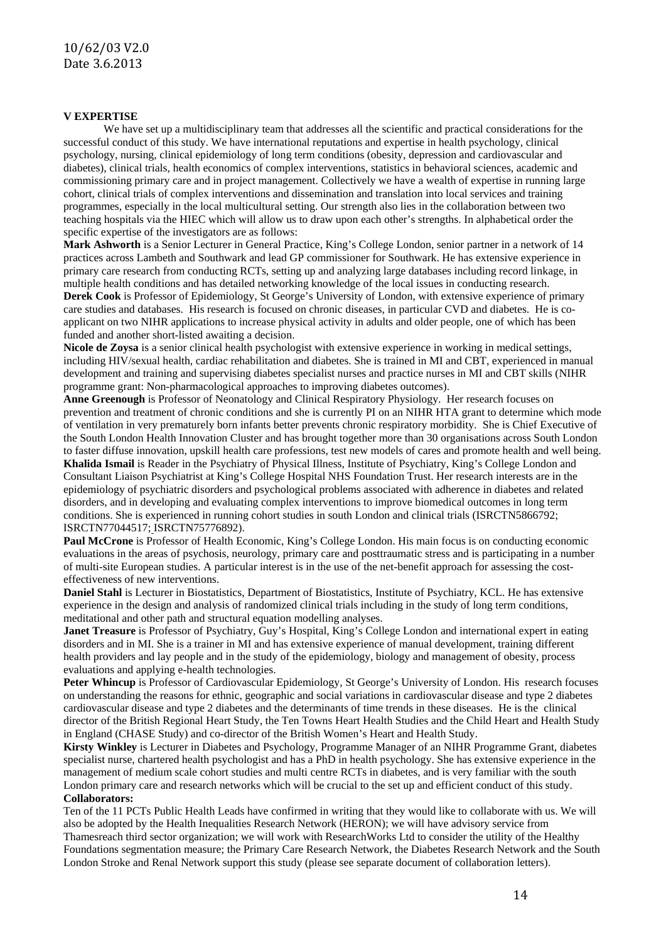#### **V EXPERTISE**

We have set up a multidisciplinary team that addresses all the scientific and practical considerations for the successful conduct of this study. We have international reputations and expertise in health psychology, clinical psychology, nursing, clinical epidemiology of long term conditions (obesity, depression and cardiovascular and diabetes), clinical trials, health economics of complex interventions, statistics in behavioral sciences, academic and commissioning primary care and in project management. Collectively we have a wealth of expertise in running large cohort, clinical trials of complex interventions and dissemination and translation into local services and training programmes, especially in the local multicultural setting. Our strength also lies in the collaboration between two teaching hospitals via the HIEC which will allow us to draw upon each other's strengths. In alphabetical order the specific expertise of the investigators are as follows:

**Mark Ashworth** is a Senior Lecturer in General Practice, King's College London, senior partner in a network of 14 practices across Lambeth and Southwark and lead GP commissioner for Southwark. He has extensive experience in primary care research from conducting RCTs, setting up and analyzing large databases including record linkage, in multiple health conditions and has detailed networking knowledge of the local issues in conducting research.

**Derek Cook** is Professor of Epidemiology, St George's University of London, with extensive experience of primary care studies and databases. His research is focused on chronic diseases, in particular CVD and diabetes. He is coapplicant on two NIHR applications to increase physical activity in adults and older people, one of which has been funded and another short-listed awaiting a decision.

**Nicole de Zoysa** is a senior clinical health psychologist with extensive experience in working in medical settings, including HIV/sexual health, cardiac rehabilitation and diabetes. She is trained in MI and CBT, experienced in manual development and training and supervising diabetes specialist nurses and practice nurses in MI and CBT skills (NIHR programme grant: Non-pharmacological approaches to improving diabetes outcomes).

**Anne Greenough** is Professor of Neonatology and Clinical Respiratory Physiology. Her research focuses on prevention and treatment of chronic conditions and she is currently PI on an NIHR HTA grant to determine which mode of ventilation in very prematurely born infants better prevents chronic respiratory morbidity. She is Chief Executive of the South London Health Innovation Cluster and has brought together more than 30 organisations across South London to faster diffuse innovation, upskill health care professions, test new models of cares and promote health and well being. **Khalida Ismail** is Reader in the Psychiatry of Physical Illness, Institute of Psychiatry, King's College London and Consultant Liaison Psychiatrist at King's College Hospital NHS Foundation Trust. Her research interests are in the epidemiology of psychiatric disorders and psychological problems associated with adherence in diabetes and related disorders, and in developing and evaluating complex interventions to improve biomedical outcomes in long term conditions. She is experienced in running cohort studies in south London and clinical trials (ISRCTN5866792; ISRCTN77044517; ISRCTN75776892).

**Paul McCrone** is Professor of Health Economic, King's College London. His main focus is on conducting economic evaluations in the areas of psychosis, neurology, primary care and posttraumatic stress and is participating in a number of multi-site European studies. A particular interest is in the use of the net-benefit approach for assessing the costeffectiveness of new interventions.

**Daniel Stahl** is Lecturer in Biostatistics, Department of Biostatistics, Institute of Psychiatry, KCL. He has extensive experience in the design and analysis of randomized clinical trials including in the study of long term conditions, meditational and other path and structural equation modelling analyses.

**Janet Treasure** is Professor of Psychiatry, Guy's Hospital, King's College London and international expert in eating disorders and in MI. She is a trainer in MI and has extensive experience of manual development, training different health providers and lay people and in the study of the epidemiology, biology and management of obesity, process evaluations and applying e-health technologies.

Peter Whincup is Professor of Cardiovascular Epidemiology, St George's University of London. His research focuses on understanding the reasons for ethnic, geographic and social variations in cardiovascular disease and type 2 diabetes cardiovascular disease and type 2 diabetes and the determinants of time trends in these diseases. He is the clinical director of the [British Regional Heart Study,](http://www.ucl.ac.uk/pcph/research-groups-themes/brhs-pub) the Ten [Towns Heart Health Studies](http://www.bmj.com/content/331/7524/1060.full?sid=e4f69e44-89d1-4209-adfb-d0f8ac3b9e00) and the [Child Heart and Health Study](http://www.chasestudy.ac.uk/)  [in England](http://www.chasestudy.ac.uk/) (CHASE Study) and co-director of the [British Women's Heart and Health Study.](http://www.lshtm.ac.uk/eph/ncde/research/bwhhs/)

**Kirsty Winkley** is Lecturer in Diabetes and Psychology, Programme Manager of an NIHR Programme Grant, diabetes specialist nurse, chartered health psychologist and has a PhD in health psychology. She has extensive experience in the management of medium scale cohort studies and multi centre RCTs in diabetes, and is very familiar with the south London primary care and research networks which will be crucial to the set up and efficient conduct of this study. **Collaborators:** 

Ten of the 11 PCTs Public Health Leads have confirmed in writing that they would like to collaborate with us. We will also be adopted by the Health Inequalities Research Network (HERON); we will have advisory service from Thamesreach third sector organization; we will work with ResearchWorks Ltd to consider the utility of the Healthy Foundations segmentation measure; the Primary Care Research Network, the Diabetes Research Network and the South London Stroke and Renal Network support this study (please see separate document of collaboration letters).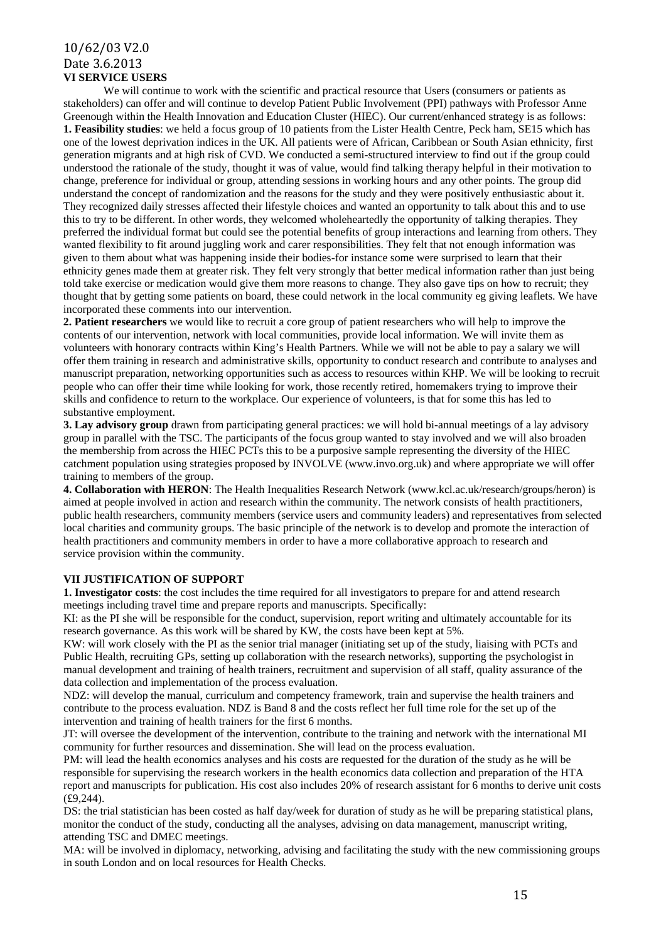## 10/62/03 V2.0 Date 3.6.2013 **VI SERVICE USERS**

We will continue to work with the scientific and practical resource that Users (consumers or patients as stakeholders) can offer and will continue to develop Patient Public Involvement (PPI) pathways with Professor Anne Greenough within the Health Innovation and Education Cluster (HIEC). Our current/enhanced strategy is as follows: **1. Feasibility studies**: we held a focus group of 10 patients from the Lister Health Centre, Peck ham, SE15 which has one of the lowest deprivation indices in the UK. All patients were of African, Caribbean or South Asian ethnicity, first generation migrants and at high risk of CVD. We conducted a semi-structured interview to find out if the group could understood the rationale of the study, thought it was of value, would find talking therapy helpful in their motivation to change, preference for individual or group, attending sessions in working hours and any other points. The group did understand the concept of randomization and the reasons for the study and they were positively enthusiastic about it. They recognized daily stresses affected their lifestyle choices and wanted an opportunity to talk about this and to use this to try to be different. In other words, they welcomed wholeheartedly the opportunity of talking therapies. They preferred the individual format but could see the potential benefits of group interactions and learning from others. They wanted flexibility to fit around juggling work and carer responsibilities. They felt that not enough information was given to them about what was happening inside their bodies-for instance some were surprised to learn that their ethnicity genes made them at greater risk. They felt very strongly that better medical information rather than just being told take exercise or medication would give them more reasons to change. They also gave tips on how to recruit; they thought that by getting some patients on board, these could network in the local community eg giving leaflets. We have incorporated these comments into our intervention.

**2. Patient researchers** we would like to recruit a core group of patient researchers who will help to improve the contents of our intervention, network with local communities, provide local information. We will invite them as volunteers with honorary contracts within King's Health Partners. While we will not be able to pay a salary we will offer them training in research and administrative skills, opportunity to conduct research and contribute to analyses and manuscript preparation, networking opportunities such as access to resources within KHP. We will be looking to recruit people who can offer their time while looking for work, those recently retired, homemakers trying to improve their skills and confidence to return to the workplace. Our experience of volunteers, is that for some this has led to substantive employment.

**3. Lay advisory group** drawn from participating general practices: we will hold bi-annual meetings of a lay advisory group in parallel with the TSC. The participants of the focus group wanted to stay involved and we will also broaden the membership from across the HIEC PCTs this to be a purposive sample representing the diversity of the HIEC catchment population using strategies proposed by INVOLVE (www.invo.org.uk) and where appropriate we will offer training to members of the group.

**4. Collaboration with HERON**: The Health Inequalities Research Network (www.kcl.ac.uk/research/groups/heron) is aimed at people involved in action and research within the community. The network consists of health practitioners, public health researchers, community members (service users and community leaders) and representatives from selected local charities and community groups. The basic principle of the network is to develop and promote the interaction of health practitioners and community members in order to have a more collaborative approach to research and service provision within the community.

### **VII JUSTIFICATION OF SUPPORT**

**1. Investigator costs**: the cost includes the time required for all investigators to prepare for and attend research meetings including travel time and prepare reports and manuscripts. Specifically:

KI: as the PI she will be responsible for the conduct, supervision, report writing and ultimately accountable for its research governance. As this work will be shared by KW, the costs have been kept at 5%.

KW: will work closely with the PI as the senior trial manager (initiating set up of the study, liaising with PCTs and Public Health, recruiting GPs, setting up collaboration with the research networks), supporting the psychologist in manual development and training of health trainers, recruitment and supervision of all staff, quality assurance of the data collection and implementation of the process evaluation.

NDZ: will develop the manual, curriculum and competency framework, train and supervise the health trainers and contribute to the process evaluation. NDZ is Band 8 and the costs reflect her full time role for the set up of the intervention and training of health trainers for the first 6 months.

JT: will oversee the development of the intervention, contribute to the training and network with the international MI community for further resources and dissemination. She will lead on the process evaluation.

PM: will lead the health economics analyses and his costs are requested for the duration of the study as he will be responsible for supervising the research workers in the health economics data collection and preparation of the HTA report and manuscripts for publication. His cost also includes 20% of research assistant for 6 months to derive unit costs (£9,244).

DS: the trial statistician has been costed as half day/week for duration of study as he will be preparing statistical plans, monitor the conduct of the study, conducting all the analyses, advising on data management, manuscript writing, attending TSC and DMEC meetings.

MA: will be involved in diplomacy, networking, advising and facilitating the study with the new commissioning groups in south London and on local resources for Health Checks.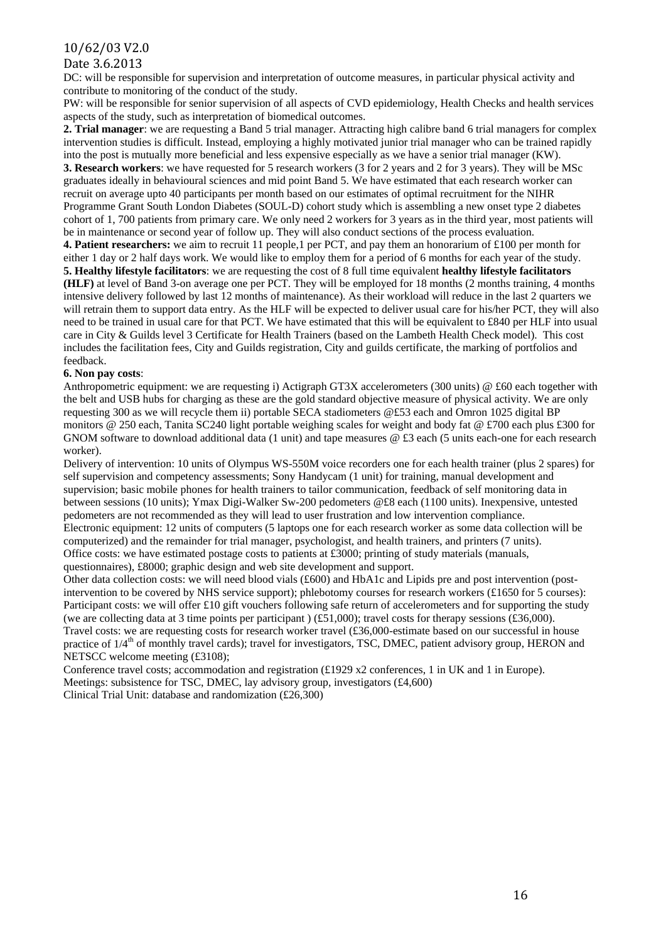## 10/62/03 V2.0

### Date 3.6.2013

DC: will be responsible for supervision and interpretation of outcome measures, in particular physical activity and contribute to monitoring of the conduct of the study.

PW: will be responsible for senior supervision of all aspects of CVD epidemiology, Health Checks and health services aspects of the study, such as interpretation of biomedical outcomes.

**2. Trial manager**: we are requesting a Band 5 trial manager. Attracting high calibre band 6 trial managers for complex intervention studies is difficult. Instead, employing a highly motivated junior trial manager who can be trained rapidly into the post is mutually more beneficial and less expensive especially as we have a senior trial manager (KW). **3. Research workers**: we have requested for 5 research workers (3 for 2 years and 2 for 3 years). They will be MSc graduates ideally in behavioural sciences and mid point Band 5. We have estimated that each research worker can recruit on average upto 40 participants per month based on our estimates of optimal recruitment for the NIHR Programme Grant South London Diabetes (SOUL-D) cohort study which is assembling a new onset type 2 diabetes cohort of 1, 700 patients from primary care. We only need 2 workers for 3 years as in the third year, most patients will be in maintenance or second year of follow up. They will also conduct sections of the process evaluation. **4. Patient researchers:** we aim to recruit 11 people,1 per PCT, and pay them an honorarium of £100 per month for either 1 day or 2 half days work. We would like to employ them for a period of 6 months for each year of the study. **5. Healthy lifestyle facilitators**: we are requesting the cost of 8 full time equivalent **healthy lifestyle facilitators (HLF)** at level of Band 3-on average one per PCT. They will be employed for 18 months (2 months training, 4 months intensive delivery followed by last 12 months of maintenance). As their workload will reduce in the last 2 quarters we will retrain them to support data entry. As the HLF will be expected to deliver usual care for his/her PCT, they will also need to be trained in usual care for that PCT. We have estimated that this will be equivalent to £840 per HLF into usual care in City & Guilds level 3 Certificate for Health Trainers (based on the Lambeth Health Check model). This cost includes the facilitation fees, City and Guilds registration, City and guilds certificate, the marking of portfolios and feedback.

#### **6. Non pay costs**:

Anthropometric equipment: we are requesting i) Actigraph GT3X accelerometers (300 units) @ £60 each together with the belt and USB hubs for charging as these are the gold standard objective measure of physical activity. We are only requesting 300 as we will recycle them ii) portable SECA stadiometers @£53 each and Omron 1025 digital BP monitors @ 250 each, Tanita SC240 light portable weighing scales for weight and body fat @ £700 each plus £300 for GNOM software to download additional data (1 unit) and tape measures @ £3 each (5 units each-one for each research worker).

Delivery of intervention: 10 units of Olympus WS-550M voice recorders one for each health trainer (plus 2 spares) for self supervision and competency assessments; Sony Handycam (1 unit) for training, manual development and supervision; basic mobile phones for health trainers to tailor communication, feedback of self monitoring data in between sessions (10 units); Ymax Digi-Walker Sw-200 pedometers @£8 each (1100 units). Inexpensive, untested pedometers are not recommended as they will lead to user frustration and low intervention compliance. Electronic equipment: 12 units of computers (5 laptops one for each research worker as some data collection will be computerized) and the remainder for trial manager, psychologist, and health trainers, and printers (7 units). Office costs: we have estimated postage costs to patients at £3000; printing of study materials (manuals,

questionnaires), £8000; graphic design and web site development and support.

Other data collection costs: we will need blood vials (£600) and HbA1c and Lipids pre and post intervention (postintervention to be covered by NHS service support); phlebotomy courses for research workers (£1650 for 5 courses): Participant costs: we will offer £10 gift vouchers following safe return of accelerometers and for supporting the study (we are collecting data at 3 time points per participant ) (£51,000); travel costs for therapy sessions (£36,000). Travel costs: we are requesting costs for research worker travel (£36,000-estimate based on our successful in house practice of  $1/4<sup>th</sup>$  of monthly travel cards); travel for investigators, TSC, DMEC, patient advisory group, HERON and NETSCC welcome meeting (£3108);

Conference travel costs; accommodation and registration (£1929 x2 conferences, 1 in UK and 1 in Europe). Meetings: subsistence for TSC, DMEC, lay advisory group, investigators (£4,600) Clinical Trial Unit: database and randomization (£26,300)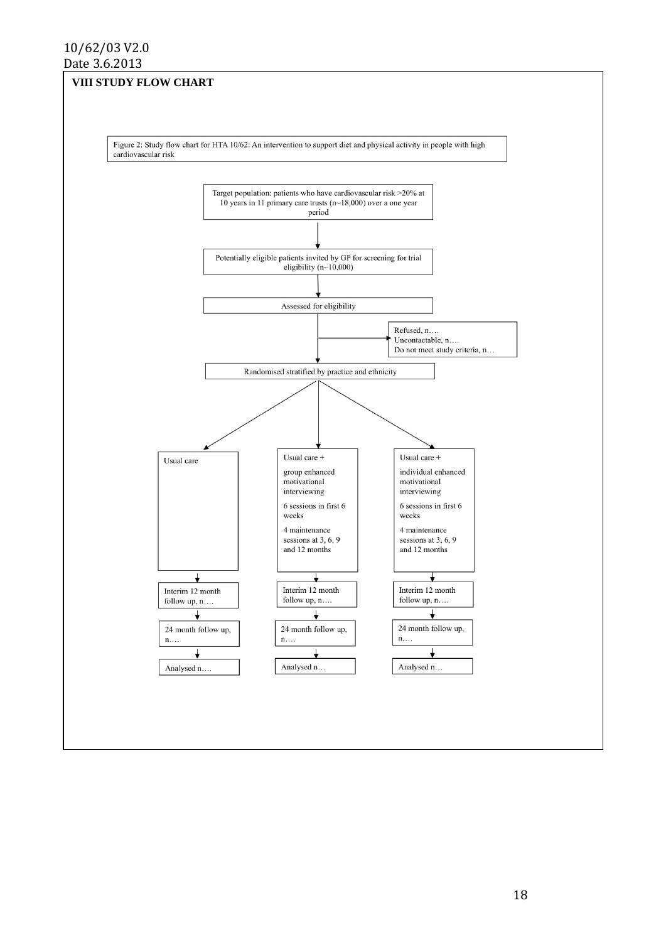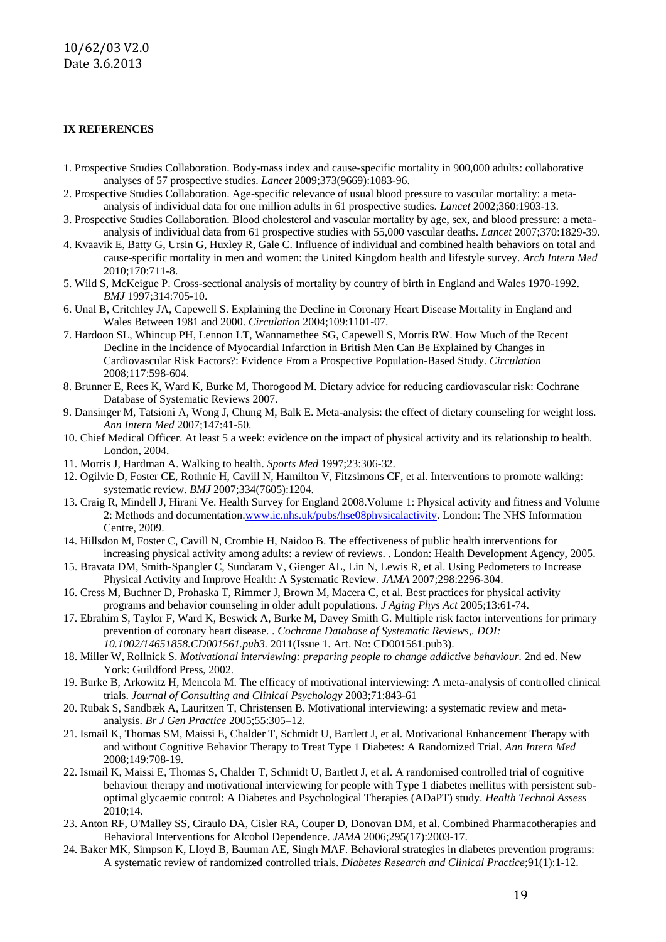#### **IX REFERENCES**

- 1. Prospective Studies Collaboration. Body-mass index and cause-specific mortality in 900,000 adults: collaborative analyses of 57 prospective studies. *Lancet* 2009;373(9669):1083-96.
- 2. Prospective Studies Collaboration. Age-specific relevance of usual blood pressure to vascular mortality: a metaanalysis of individual data for one million adults in 61 prospective studies. *Lancet* 2002;360:1903-13.
- 3. Prospective Studies Collaboration. Blood cholesterol and vascular mortality by age, sex, and blood pressure: a metaanalysis of individual data from 61 prospective studies with 55,000 vascular deaths. *Lancet* 2007;370:1829-39.
- 4. Kvaavik E, Batty G, Ursin G, Huxley R, Gale C. Influence of individual and combined health behaviors on total and cause-specific mortality in men and women: the United Kingdom health and lifestyle survey. *Arch Intern Med* 2010;170:711-8.
- 5. Wild S, McKeigue P. Cross-sectional analysis of mortality by country of birth in England and Wales 1970-1992. *BMJ* 1997;314:705-10.
- 6. Unal B, Critchley JA, Capewell S. Explaining the Decline in Coronary Heart Disease Mortality in England and Wales Between 1981 and 2000. *Circulation* 2004;109:1101-07.
- 7. Hardoon SL, Whincup PH, Lennon LT, Wannamethee SG, Capewell S, Morris RW. How Much of the Recent Decline in the Incidence of Myocardial Infarction in British Men Can Be Explained by Changes in Cardiovascular Risk Factors?: Evidence From a Prospective Population-Based Study. *Circulation* 2008;117:598-604.
- 8. Brunner E, Rees K, Ward K, Burke M, Thorogood M. Dietary advice for reducing cardiovascular risk: Cochrane Database of Systematic Reviews 2007.
- 9. Dansinger M, Tatsioni A, Wong J, Chung M, Balk E. Meta-analysis: the effect of dietary counseling for weight loss. *Ann Intern Med* 2007;147:41-50.
- 10. Chief Medical Officer. At least 5 a week: evidence on the impact of physical activity and its relationship to health. London, 2004.
- 11. Morris J, Hardman A. Walking to health. *Sports Med* 1997;23:306-32.
- 12. Ogilvie D, Foster CE, Rothnie H, Cavill N, Hamilton V, Fitzsimons CF, et al. Interventions to promote walking: systematic review. *BMJ* 2007;334(7605):1204.
- 13. Craig R, Mindell J, Hirani Ve. Health Survey for England 2008.Volume 1: Physical activity and fitness and Volume 2: Methods and documentation[.www.ic.nhs.uk/pubs/hse08physicalactivity.](http://www.ic.nhs.uk/pubs/hse08physicalactivity) London: The NHS Information Centre, 2009.
- 14. Hillsdon M, Foster C, Cavill N, Crombie H, Naidoo B. The effectiveness of public health interventions for increasing physical activity among adults: a review of reviews. . London: Health Development Agency, 2005.
- 15. Bravata DM, Smith-Spangler C, Sundaram V, Gienger AL, Lin N, Lewis R, et al. Using Pedometers to Increase Physical Activity and Improve Health: A Systematic Review. *JAMA* 2007;298:2296-304.
- 16. Cress M, Buchner D, Prohaska T, Rimmer J, Brown M, Macera C, et al. Best practices for physical activity programs and behavior counseling in older adult populations. *J Aging Phys Act* 2005;13:61-74.
- 17. Ebrahim S, Taylor F, Ward K, Beswick A, Burke M, Davey Smith G. Multiple risk factor interventions for primary prevention of coronary heart disease. . *Cochrane Database of Systematic Reviews,. DOI: 10.1002/14651858.CD001561.pub3.* 2011(Issue 1. Art. No: CD001561.pub3).
- 18. Miller W, Rollnick S. *Motivational interviewing: preparing people to change addictive behaviour.* 2nd ed. New York: Guildford Press, 2002.
- 19. Burke B, Arkowitz H, Mencola M. The efficacy of motivational interviewing: A meta-analysis of controlled clinical trials. *Journal of Consulting and Clinical Psychology* 2003;71:843-61
- 20. Rubak S, Sandbæk A, Lauritzen T, Christensen B. Motivational interviewing: a systematic review and metaanalysis. *Br J Gen Practice* 2005;55:305–12.
- 21. Ismail K, Thomas SM, Maissi E, Chalder T, Schmidt U, Bartlett J, et al. Motivational Enhancement Therapy with and without Cognitive Behavior Therapy to Treat Type 1 Diabetes: A Randomized Trial. *Ann Intern Med* 2008;149:708-19.
- 22. Ismail K, Maissi E, Thomas S, Chalder T, Schmidt U, Bartlett J, et al. A randomised controlled trial of cognitive behaviour therapy and motivational interviewing for people with Type 1 diabetes mellitus with persistent suboptimal glycaemic control: A Diabetes and Psychological Therapies (ADaPT) study. *Health Technol Assess* 2010;14.
- 23. Anton RF, O'Malley SS, Ciraulo DA, Cisler RA, Couper D, Donovan DM, et al. Combined Pharmacotherapies and Behavioral Interventions for Alcohol Dependence. *JAMA* 2006;295(17):2003-17.
- 24. Baker MK, Simpson K, Lloyd B, Bauman AE, Singh MAF. Behavioral strategies in diabetes prevention programs: A systematic review of randomized controlled trials. *Diabetes Research and Clinical Practice*;91(1):1-12.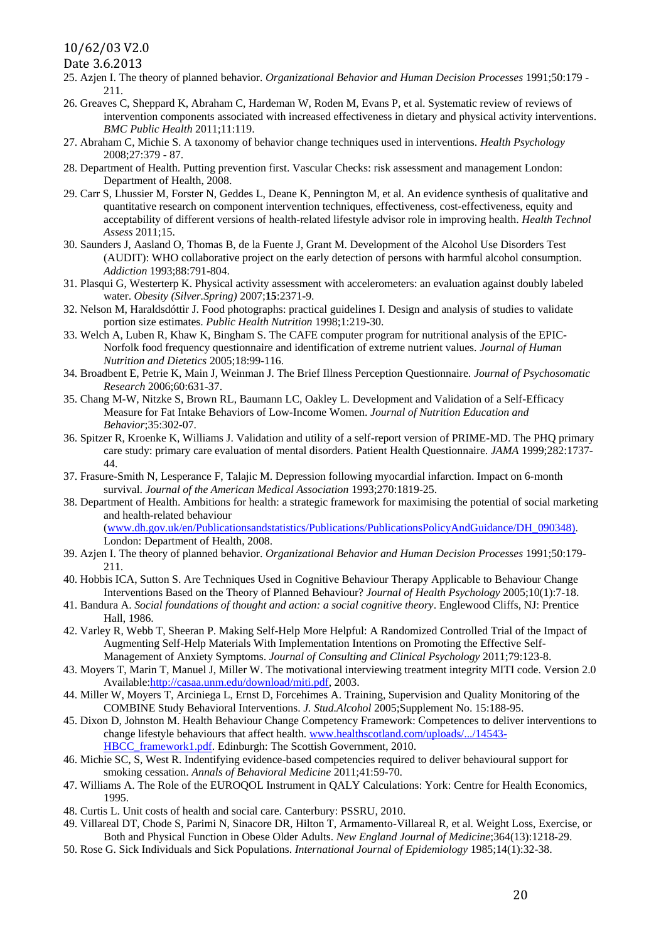## 10/62/03 V2.0

Date 3.6.2013

- 25. Azjen I. The theory of planned behavior. *Organizational Behavior and Human Decision Processes* 1991;50:179 211.
- 26. Greaves C, Sheppard K, Abraham C, Hardeman W, Roden M, Evans P, et al. Systematic review of reviews of intervention components associated with increased effectiveness in dietary and physical activity interventions. *BMC Public Health* 2011;11:119.
- 27. Abraham C, Michie S. A taxonomy of behavior change techniques used in interventions. *Health Psychology* 2008;27:379 - 87.
- 28. Department of Health. Putting prevention first. Vascular Checks: risk assessment and management London: Department of Health, 2008.
- 29. Carr S, Lhussier M, Forster N, Geddes L, Deane K, Pennington M, et al. An evidence synthesis of qualitative and quantitative research on component intervention techniques, effectiveness, cost-effectiveness, equity and acceptability of different versions of health-related lifestyle advisor role in improving health. *Health Technol Assess* 2011;15.
- 30. Saunders J, Aasland O, Thomas B, de la Fuente J, Grant M. Development of the Alcohol Use Disorders Test (AUDIT): WHO collaborative project on the early detection of persons with harmful alcohol consumption. *Addiction* 1993;88:791-804.
- 31. Plasqui G, Westerterp K. Physical activity assessment with accelerometers: an evaluation against doubly labeled water. *Obesity (Silver.Spring)* 2007;**15**:2371-9.
- 32. Nelson M, Haraldsdóttir J. Food photographs: practical guidelines I. Design and analysis of studies to validate portion size estimates. *Public Health Nutrition* 1998;1:219-30.
- 33. Welch A, Luben R, Khaw K, Bingham S. The CAFE computer program for nutritional analysis of the EPIC-Norfolk food frequency questionnaire and identification of extreme nutrient values. *Journal of Human Nutrition and Dietetics* 2005;18:99-116.
- 34. Broadbent E, Petrie K, Main J, Weinman J. The Brief Illness Perception Questionnaire. *Journal of Psychosomatic Research* 2006;60:631-37.
- 35. Chang M-W, Nitzke S, Brown RL, Baumann LC, Oakley L. Development and Validation of a Self-Efficacy Measure for Fat Intake Behaviors of Low-Income Women. *Journal of Nutrition Education and Behavior*;35:302-07.
- 36. Spitzer R, Kroenke K, Williams J. Validation and utility of a self-report version of PRIME-MD. The PHQ primary care study: primary care evaluation of mental disorders. Patient Health Questionnaire. *JAMA* 1999;282:1737- 44.
- 37. Frasure-Smith N, Lesperance F, Talajic M. Depression following myocardial infarction. Impact on 6-month survival. *Journal of the American Medical Association* 1993;270:1819-25.
- 38. Department of Health. Ambitions for health: a strategic framework for maximising the potential of social marketing and health-related behaviour [\(www.dh.gov.uk/en/Publicationsandstatistics/Publications/PublicationsPolicyAndGuidance/DH\\_090348\).](http://www.dh.gov.uk/en/Publicationsandstatistics/Publications/PublicationsPolicyAndGuidance/DH_090348)) London: Department of Health, 2008.
- 39. Azjen I. The theory of planned behavior. *Organizational Behavior and Human Decision Processes* 1991;50:179- 211.
- 40. Hobbis ICA, Sutton S. Are Techniques Used in Cognitive Behaviour Therapy Applicable to Behaviour Change Interventions Based on the Theory of Planned Behaviour? *Journal of Health Psychology* 2005;10(1):7-18.
- 41. Bandura A. *Social foundations of thought and action: a social cognitive theory*. Englewood Cliffs, NJ: Prentice Hall, 1986.
- 42. Varley R, Webb T, Sheeran P. Making Self-Help More Helpful: A Randomized Controlled Trial of the Impact of Augmenting Self-Help Materials With Implementation Intentions on Promoting the Effective Self-Management of Anxiety Symptoms. *Journal of Consulting and Clinical Psychology* 2011;79:123-8.
- 43. Moyers T, Marin T, Manuel J, Miller W. The motivational interviewing treatment integrity MITI code. Version 2.0 Available[:http://casaa.unm.edu/download/miti.pdf,](http://casaa.unm.edu/download/miti.pdf) 2003.
- 44. Miller W, Moyers T, Arciniega L, Ernst D, Forcehimes A. Training, Supervision and Quality Monitoring of the COMBINE Study Behavioral Interventions. *J. Stud.Alcohol* 2005;Supplement No. 15:188-95.
- 45. Dixon D, Johnston M. Health Behaviour Change Competency Framework: Competences to deliver interventions to change lifestyle behaviours that affect health. [www.healthscotland.com/uploads/.../14543-](http://www.healthscotland.com/uploads/.../14543-HBCC_framework1.pdf) [HBCC\\_framework1.pdf.](http://www.healthscotland.com/uploads/.../14543-HBCC_framework1.pdf) Edinburgh: The Scottish Government, 2010.
- 46. Michie SC, S, West R. Indentifying evidence-based competencies required to deliver behavioural support for smoking cessation. *Annals of Behavioral Medicine* 2011;41:59-70.
- 47. Williams A. The Role of the EUROQOL Instrument in QALY Calculations: York: Centre for Health Economics, 1995.
- 48. Curtis L. Unit costs of health and social care. Canterbury: PSSRU, 2010.
- 49. Villareal DT, Chode S, Parimi N, Sinacore DR, Hilton T, Armamento-Villareal R, et al. Weight Loss, Exercise, or Both and Physical Function in Obese Older Adults. *New England Journal of Medicine*;364(13):1218-29.
- 50. Rose G. Sick Individuals and Sick Populations. *International Journal of Epidemiology* 1985;14(1):32-38.